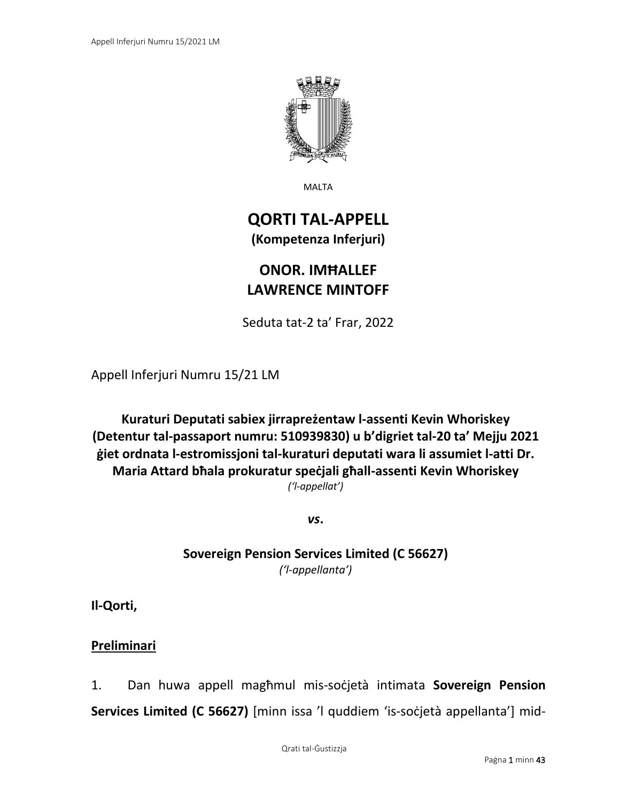

MALTA

# **QORTI TAL-APPELL (Kompetenza Inferjuri)**

# **ONOR. IMĦALLEF LAWRENCE MINTOFF**

Seduta tat-2 ta' Frar, 2022

Appell Inferjuri Numru 15/21 LM

**Kuraturi Deputati sabiex jirrapreżentaw l-assenti Kevin Whoriskey (Detentur tal-passaport numru: 510939830) u b'digriet tal-20 ta' Mejju 2021 ġiet ordnata l-estromissjoni tal-kuraturi deputati wara li assumiet l-atti Dr. Maria Attard bħala prokuratur speċjali għall-assenti Kevin Whoriskey** *('l-appellat')*

*vs***.**

**Sovereign Pension Services Limited (C 56627)** *('l-appellanta')*

**Il-Qorti,**

**Preliminari**

1. Dan huwa appell magħmul mis-soċjetà intimata **Sovereign Pension Services Limited (C 56627)** [minn issa 'l quddiem 'is-soċjetà appellanta'] mid-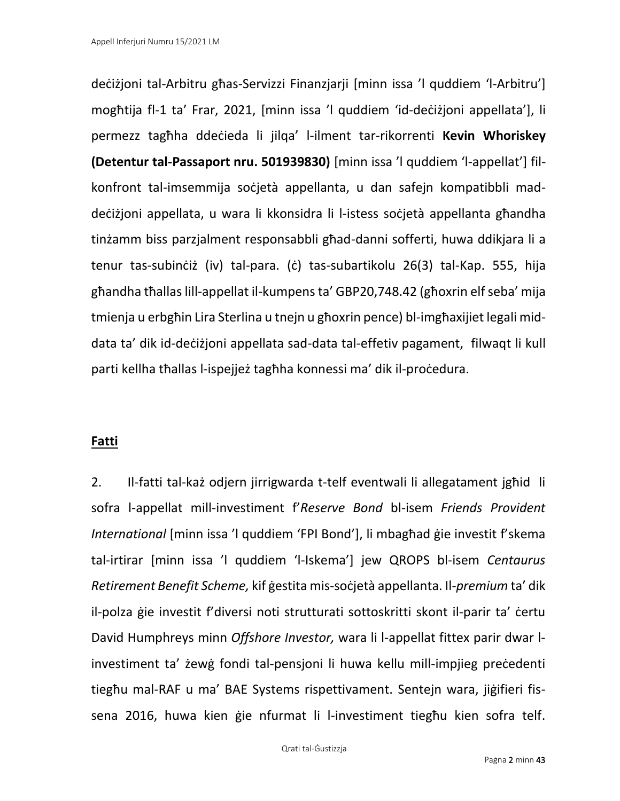deċiżjoni tal-Arbitru għas-Servizzi Finanzjarji [minn issa 'l quddiem 'l-Arbitru'] mogħtija fl-1 ta' Frar, 2021, [minn issa 'l quddiem 'id-deċiżjoni appellata'], li permezz tagħha ddeċieda li jilqa' l-ilment tar-rikorrenti **Kevin Whoriskey (Detentur tal-Passaport nru. 501939830)** [minn issa 'l quddiem 'l-appellat'] filkonfront tal-imsemmija soċjetà appellanta, u dan safejn kompatibbli maddeċiżjoni appellata, u wara li kkonsidra li l-istess soċjetà appellanta għandha tinżamm biss parzjalment responsabbli għad-danni sofferti, huwa ddikjara li a tenur tas-subinċiż (iv) tal-para. (ċ) tas-subartikolu 26(3) tal-Kap. 555, hija għandha tħallas lill-appellat il-kumpens ta' GBP20,748.42 (għoxrin elf seba' mija tmienja u erbgħin Lira Sterlina u tnejn u għoxrin pence) bl-imgħaxijiet legali middata ta' dik id-deċiżjoni appellata sad-data tal-effetiv pagament, filwaqt li kull parti kellha tħallas l-ispejjeż tagħha konnessi ma' dik il-proċedura.

# **Fatti**

2. Il-fatti tal-każ odjern jirrigwarda t-telf eventwali li allegatament jgħid li sofra l-appellat mill-investiment f'*Reserve Bond* bl-isem *Friends Provident International* [minn issa 'l quddiem 'FPI Bond'], li mbagħad ġie investit f'skema tal-irtirar [minn issa 'l quddiem 'l-Iskema'] jew QROPS bl-isem *Centaurus Retirement Benefit Scheme,* kif ġestita mis-soċjetà appellanta. Il-*premium* ta' dik il-polza ġie investit f'diversi noti strutturati sottoskritti skont il-parir ta' ċertu David Humphreys minn *Offshore Investor,* wara li l-appellat fittex parir dwar linvestiment ta' żewġ fondi tal-pensjoni li huwa kellu mill-impjieg preċedenti tiegħu mal-RAF u ma' BAE Systems rispettivament. Sentejn wara, jiġifieri fissena 2016, huwa kien ġie nfurmat li l-investiment tiegħu kien sofra telf.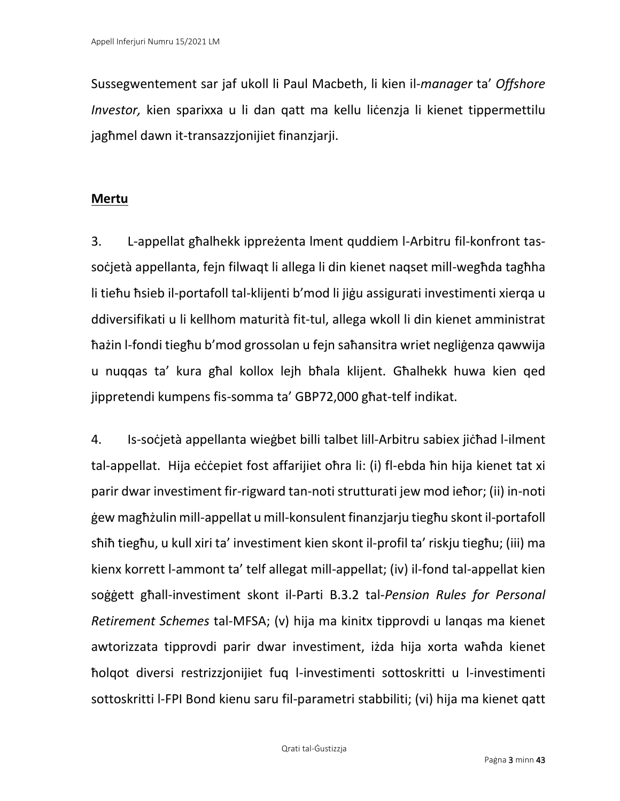Sussegwentement sar jaf ukoll li Paul Macbeth, li kien il-*manager* ta' *Offshore Investor,* kien sparixxa u li dan qatt ma kellu lićenzja li kienet tippermettilu jagħmel dawn it-transazzjonijiet finanzjarji.

# **Mertu**

3. L-appellat għalhekk ippreżenta lment quddiem l-Arbitru fil-konfront tassoċjetà appellanta, fejn filwaqt li allega li din kienet naqset mill-wegħda tagħha li tieħu ħsieb il-portafoll tal-klijenti b'mod li jiġu assigurati investimenti xierqa u ddiversifikati u li kellhom maturità fit-tul, allega wkoll li din kienet amministrat ħażin l-fondi tiegħu b'mod grossolan u fejn saħansitra wriet negliġenza qawwija u nuqqas ta' kura għal kollox lejh bħala klijent. Għalhekk huwa kien qed jippretendi kumpens fis-somma ta' GBP72,000 għat-telf indikat.

4. Is-soċjetà appellanta wieġbet billi talbet lill-Arbitru sabiex jiċħad l-ilment tal-appellat. Hija eċċepiet fost affarijiet oħra li: (i) fl-ebda ħin hija kienet tat xi parir dwar investiment fir-rigward tan-noti strutturati jew mod ieħor; (ii) in-noti ġew magħżulin mill-appellat u mill-konsulent finanzjarju tiegħu skont il-portafoll sħiħ tiegħu, u kull xiri ta' investiment kien skont il-profil ta' riskju tiegħu; (iii) ma kienx korrett l-ammont ta' telf allegat mill-appellat; (iv) il-fond tal-appellat kien soġġett għall-investiment skont il-Parti B.3.2 tal-*Pension Rules for Personal Retirement Schemes* tal-MFSA; (v) hija ma kinitx tipprovdi u lanqas ma kienet awtorizzata tipprovdi parir dwar investiment, iżda hija xorta waħda kienet ħolqot diversi restrizzjonijiet fuq l-investimenti sottoskritti u l-investimenti sottoskritti l-FPI Bond kienu saru fil-parametri stabbiliti; (vi) hija ma kienet qatt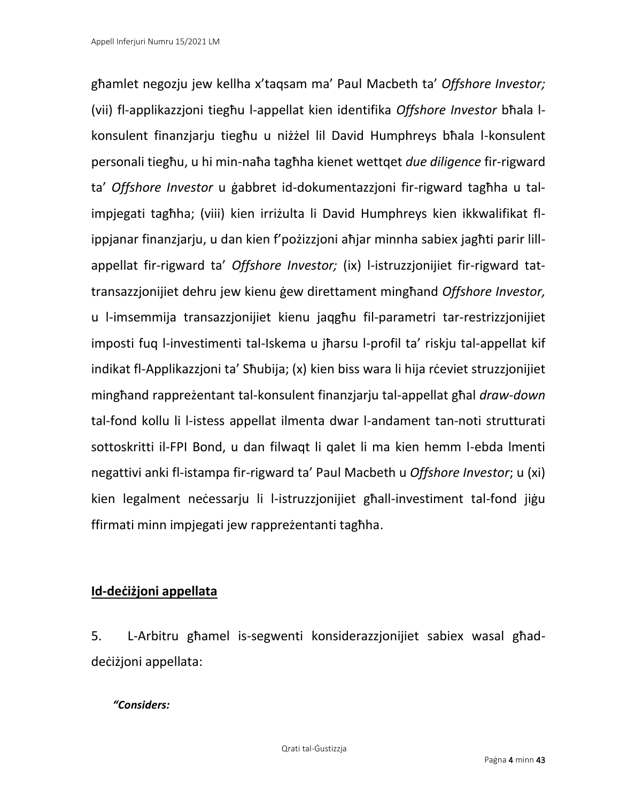għamlet negozju jew kellha x'taqsam ma' Paul Macbeth ta' *Offshore Investor;*  (vii) fl-applikazzjoni tiegħu l-appellat kien identifika *Offshore Investor* bħala lkonsulent finanzjarju tiegħu u niżżel lil David Humphreys bħala l-konsulent personali tiegħu, u hi min-naħa tagħha kienet wettqet *due diligence* fir-rigward ta' *Offshore Investor* u ġabbret id-dokumentazzjoni fir-rigward tagħha u talimpjegati tagħha; (viii) kien irriżulta li David Humphreys kien ikkwalifikat flippjanar finanzjarju, u dan kien f'pożizzjoni aħjar minnha sabiex jagħti parir lillappellat fir-rigward ta' *Offshore Investor;* (ix) l-istruzzjonijiet fir-rigward tattransazzjonijiet dehru jew kienu ġew direttament mingħand *Offshore Investor,* u l-imsemmija transazzjonijiet kienu jaqgħu fil-parametri tar-restrizzjonijiet imposti fuq l-investimenti tal-Iskema u jħarsu l-profil ta' riskju tal-appellat kif indikat fl-Applikazzjoni ta' Sħubija; (x) kien biss wara li hija rċeviet struzzjonijiet mingħand rappreżentant tal-konsulent finanzjarju tal-appellat għal *draw-down*  tal-fond kollu li l-istess appellat ilmenta dwar l-andament tan-noti strutturati sottoskritti il-FPI Bond, u dan filwaqt li qalet li ma kien hemm l-ebda lmenti negattivi anki fl-istampa fir-rigward ta' Paul Macbeth u *Offshore Investor*; u (xi) kien legalment neċessarju li l-istruzzjonijiet għall-investiment tal-fond jiġu ffirmati minn impjegati jew rappreżentanti tagħha.

# **Id-deċiżjoni appellata**

5. L-Arbitru għamel is-segwenti konsiderazzjonijiet sabiex wasal għaddeċiżjoni appellata:

# *"Considers:*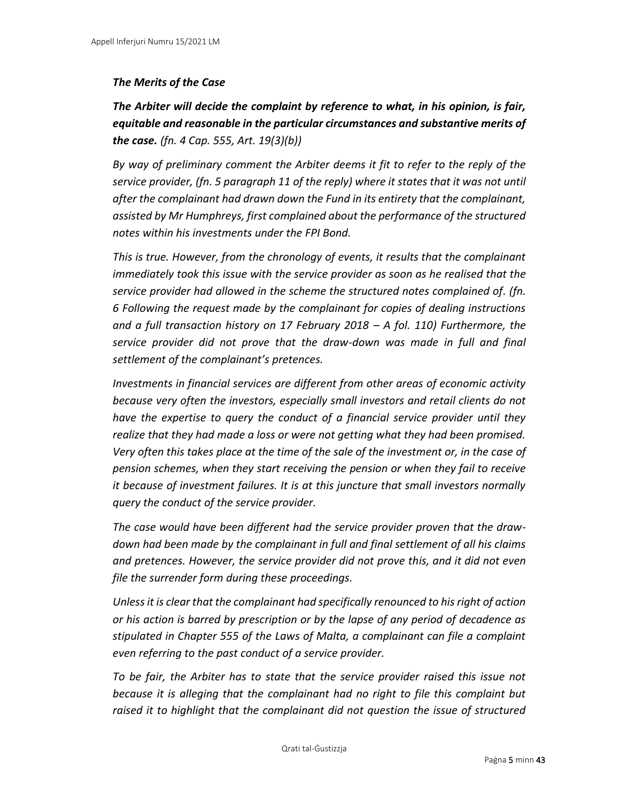# *The Merits of the Case*

*The Arbiter will decide the complaint by reference to what, in his opinion, is fair, equitable and reasonable in the particular circumstances and substantive merits of the case. (fn. 4 Cap. 555, Art. 19(3)(b))*

*By way of preliminary comment the Arbiter deems it fit to refer to the reply of the service provider, (fn. 5 paragraph 11 of the reply) where it states that it was not until after the complainant had drawn down the Fund in its entirety that the complainant, assisted by Mr Humphreys, first complained about the performance of the structured notes within his investments under the FPI Bond.* 

*This is true. However, from the chronology of events, it results that the complainant immediately took this issue with the service provider as soon as he realised that the service provider had allowed in the scheme the structured notes complained of. (fn. 6 Following the request made by the complainant for copies of dealing instructions and a full transaction history on 17 February 2018 – A fol. 110) Furthermore, the service provider did not prove that the draw-down was made in full and final settlement of the complainant's pretences.* 

*Investments in financial services are different from other areas of economic activity because very often the investors, especially small investors and retail clients do not have the expertise to query the conduct of a financial service provider until they realize that they had made a loss or were not getting what they had been promised. Very often this takes place at the time of the sale of the investment or, in the case of pension schemes, when they start receiving the pension or when they fail to receive it because of investment failures. It is at this juncture that small investors normally query the conduct of the service provider.* 

*The case would have been different had the service provider proven that the drawdown had been made by the complainant in full and final settlement of all his claims and pretences. However, the service provider did not prove this, and it did not even file the surrender form during these proceedings.* 

*Unless it is clear that the complainant had specifically renounced to his right of action or his action is barred by prescription or by the lapse of any period of decadence as stipulated in Chapter 555 of the Laws of Malta, a complainant can file a complaint even referring to the past conduct of a service provider.* 

*To be fair, the Arbiter has to state that the service provider raised this issue not because it is alleging that the complainant had no right to file this complaint but raised it to highlight that the complainant did not question the issue of structured*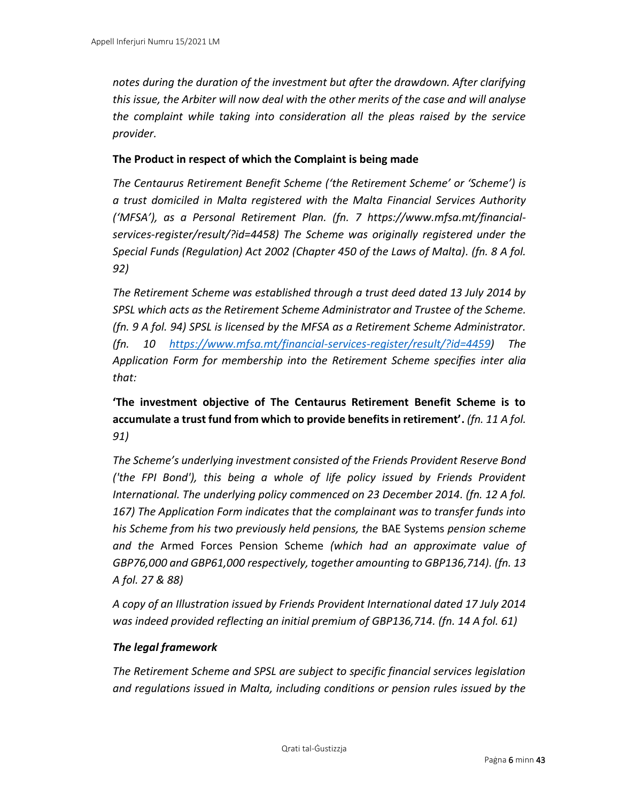*notes during the duration of the investment but after the drawdown. After clarifying this issue, the Arbiter will now deal with the other merits of the case and will analyse the complaint while taking into consideration all the pleas raised by the service provider.* 

# **The Product in respect of which the Complaint is being made**

*The Centaurus Retirement Benefit Scheme ('the Retirement Scheme' or 'Scheme') is a trust domiciled in Malta registered with the Malta Financial Services Authority ('MFSA'), as a Personal Retirement Plan. (fn. 7 https://www.mfsa.mt/financialservices-register/result/?id=4458) The Scheme was originally registered under the Special Funds (Regulation) Act 2002 (Chapter 450 of the Laws of Malta). (fn. 8 A fol. 92)*

*The Retirement Scheme was established through a trust deed dated 13 July 2014 by SPSL which acts as the Retirement Scheme Administrator and Trustee of the Scheme. (fn. 9 A fol. 94) SPSL is licensed by the MFSA as a Retirement Scheme Administrator. (fn. 10 [https://www.mfsa.mt/financial-services-register/result/?id=4459\)](https://www.mfsa.mt/financial-services-register/result/?id=4459) The Application Form for membership into the Retirement Scheme specifies inter alia that:* 

**'The investment objective of The Centaurus Retirement Benefit Scheme is to accumulate a trust fund from which to provide benefits in retirement'.** *(fn. 11 A fol. 91)*

*The Scheme's underlying investment consisted of the Friends Provident Reserve Bond ('the FPI Bond'), this being a whole of life policy issued by Friends Provident International. The underlying policy commenced on 23 December 2014. (fn. 12 A fol. 167) The Application Form indicates that the complainant was to transfer funds into his Scheme from his two previously held pensions, the* BAE Systems *pension scheme and the* Armed Forces Pension Scheme *(which had an approximate value of GBP76,000 and GBP61,000 respectively, together amounting to GBP136,714). (fn. 13 A fol. 27 & 88)*

*A copy of an Illustration issued by Friends Provident International dated 17 July 2014 was indeed provided reflecting an initial premium of GBP136,714. (fn. 14 A fol. 61)*

# *The legal framework*

*The Retirement Scheme and SPSL are subject to specific financial services legislation and regulations issued in Malta, including conditions or pension rules issued by the*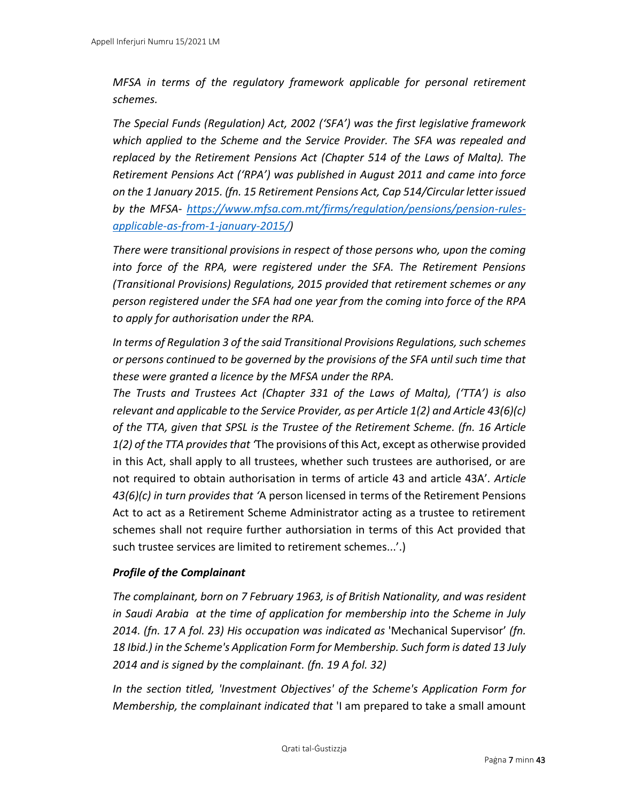*MFSA in terms of the regulatory framework applicable for personal retirement schemes.* 

*The Special Funds (Regulation) Act, 2002 ('SFA') was the first legislative framework which applied to the Scheme and the Service Provider. The SFA was repealed and replaced by the Retirement Pensions Act (Chapter 514 of the Laws of Malta). The Retirement Pensions Act ('RPA') was published in August 2011 and came into force on the 1 January 2015. (fn. 15 Retirement Pensions Act, Cap 514/Circular letter issued by the MFSA- [https://www.mfsa.com.mt/firms/regulation/pensions/pension-rules](https://www.mfsa.com.mt/firms/regulation/pensions/pension-rules-applicable-as-from-1-january-2015/)[applicable-as-from-1-january-2015/\)](https://www.mfsa.com.mt/firms/regulation/pensions/pension-rules-applicable-as-from-1-january-2015/)*

*There were transitional provisions in respect of those persons who, upon the coming into force of the RPA, were registered under the SFA. The Retirement Pensions (Transitional Provisions) Regulations, 2015 provided that retirement schemes or any person registered under the SFA had one year from the coming into force of the RPA to apply for authorisation under the RPA.* 

*In terms of Regulation 3 of the said Transitional Provisions Regulations, such schemes or persons continued to be governed by the provisions of the SFA until such time that these were granted a licence by the MFSA under the RPA.* 

*The Trusts and Trustees Act (Chapter 331 of the Laws of Malta), ('TTA') is also relevant and applicable to the Service Provider, as per Article 1(2) and Article 43(6)(c) of the TTA, given that SPSL is the Trustee of the Retirement Scheme. (fn. 16 Article 1(2) of the TTA provides that '*The provisions of this Act, except as otherwise provided in this Act, shall apply to all trustees, whether such trustees are authorised, or are not required to obtain authorisation in terms of article 43 and article 43A'*. Article 43(6)(c) in turn provides that '*A person licensed in terms of the Retirement Pensions Act to act as a Retirement Scheme Administrator acting as a trustee to retirement schemes shall not require further authorsiation in terms of this Act provided that such trustee services are limited to retirement schemes...'.)

# *Profile of the Complainant*

*The complainant, born on 7 February 1963, is of British Nationality, and was resident in Saudi Arabia at the time of application for membership into the Scheme in July 2014. (fn. 17 A fol. 23) His occupation was indicated as* 'Mechanical Supervisor' *(fn. 18 Ibid.) in the Scheme's Application Form for Membership. Such form is dated 13 July 2014 and is signed by the complainant. (fn. 19 A fol. 32)*

*In the section titled, 'Investment Objectives' of the Scheme's Application Form for Membership, the complainant indicated that* 'I am prepared to take a small amount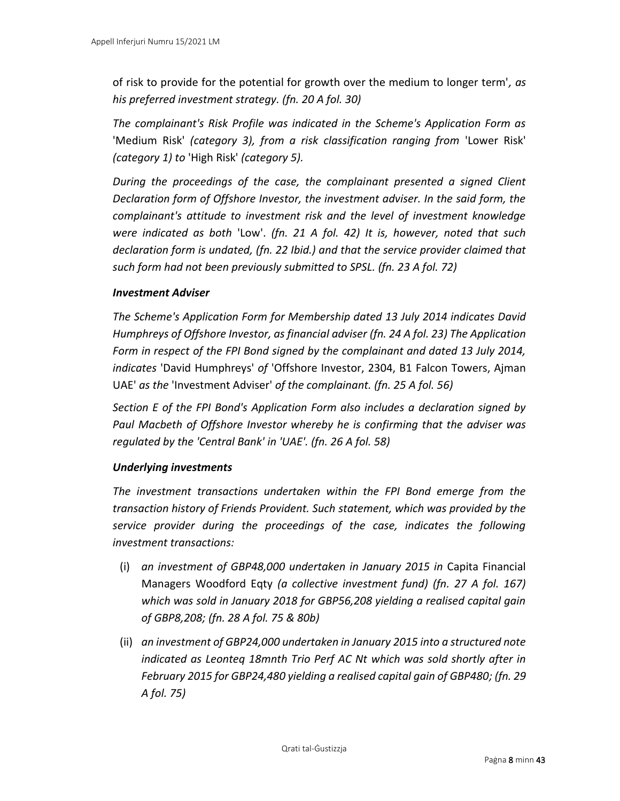of risk to provide for the potential for growth over the medium to longer term'*, as his preferred investment strategy. (fn. 20 A fol. 30)*

*The complainant's Risk Profile was indicated in the Scheme's Application Form as*  'Medium Risk' *(category 3), from a risk classification ranging from* 'Lower Risk' *(category 1) to* 'High Risk' *(category 5).* 

*During the proceedings of the case, the complainant presented a signed Client Declaration form of Offshore Investor, the investment adviser. In the said form, the complainant's attitude to investment risk and the level of investment knowledge were indicated as both* 'Low'. *(fn. 21 A fol. 42) It is, however, noted that such declaration form is undated, (fn. 22 Ibid.) and that the service provider claimed that such form had not been previously submitted to SPSL. (fn. 23 A fol. 72)*

#### *Investment Adviser*

*The Scheme's Application Form for Membership dated 13 July 2014 indicates David Humphreys of Offshore Investor, as financial adviser (fn. 24 A fol. 23) The Application Form in respect of the FPI Bond signed by the complainant and dated 13 July 2014, indicates* 'David Humphreys' *of* 'Offshore Investor, 2304, B1 Falcon Towers, Ajman UAE' *as the* 'Investment Adviser' *of the complainant. (fn. 25 A fol. 56)*

*Section E of the FPI Bond's Application Form also includes a declaration signed by Paul Macbeth of Offshore Investor whereby he is confirming that the adviser was regulated by the 'Central Bank' in 'UAE'. (fn. 26 A fol. 58)*

# *Underlying investments*

*The investment transactions undertaken within the FPI Bond emerge from the transaction history of Friends Provident. Such statement, which was provided by the service provider during the proceedings of the case, indicates the following investment transactions:*

- (i) *an investment of GBP48,000 undertaken in January 2015 in* Capita Financial Managers Woodford Eqty *(a collective investment fund) (fn. 27 A fol. 167) which was sold in January 2018 for GBP56,208 yielding a realised capital gain of GBP8,208; (fn. 28 A fol. 75 & 80b)*
- (ii) *an investment of GBP24,000 undertaken in January 2015 into a structured note indicated as Leonteq 18mnth Trio Perf AC Nt which was sold shortly after in February 2015 for GBP24,480 yielding a realised capital gain of GBP480; (fn. 29 A fol. 75)*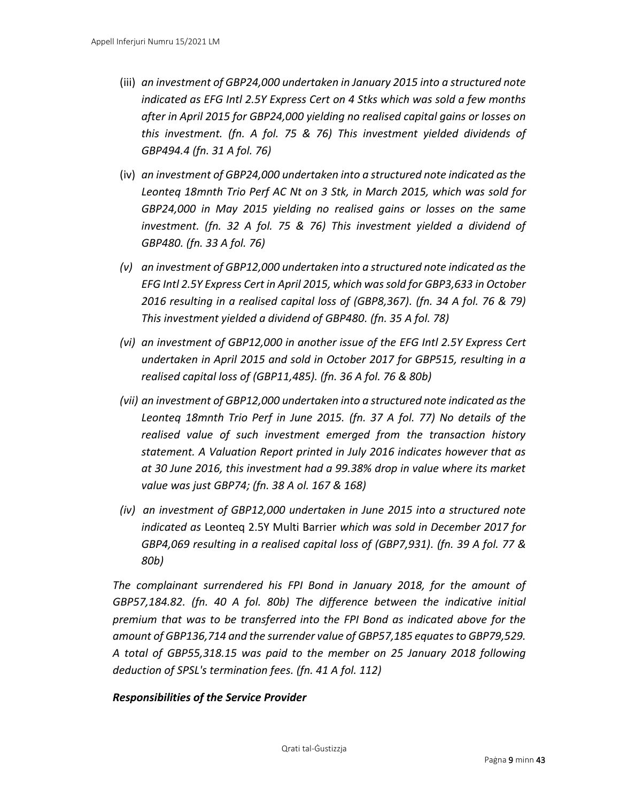- (iii) *an investment of GBP24,000 undertaken in January 2015 into a structured note indicated as EFG Intl 2.5Y Express Cert on 4 Stks which was sold a few months after in April 2015 for GBP24,000 yielding no realised capital gains or losses on this investment. (fn. A fol. 75 & 76) This investment yielded dividends of GBP494.4 (fn. 31 A fol. 76)*
- (iv) *an investment of GBP24,000 undertaken into a structured note indicated as the Leonteq 18mnth Trio Perf AC Nt on 3 Stk, in March 2015, which was sold for GBP24,000 in May 2015 yielding no realised gains or losses on the same investment. (fn. 32 A fol. 75 & 76) This investment yielded a dividend of GBP480. (fn. 33 A fol. 76)*
- *(v) an investment of GBP12,000 undertaken into a structured note indicated as the EFG Intl 2.5Y Express Cert in April 2015, which was sold for GBP3,633 in October 2016 resulting in a realised capital loss of (GBP8,367). (fn. 34 A fol. 76 & 79) This investment yielded a dividend of GBP480. (fn. 35 A fol. 78)*
- *(vi) an investment of GBP12,000 in another issue of the EFG Intl 2.5Y Express Cert undertaken in April 2015 and sold in October 2017 for GBP515, resulting in a realised capital loss of (GBP11,485). (fn. 36 A fol. 76 & 80b)*
- *(vii) an investment of GBP12,000 undertaken into a structured note indicated as the Leonteq 18mnth Trio Perf in June 2015. (fn. 37 A fol. 77) No details of the realised value of such investment emerged from the transaction history statement. A Valuation Report printed in July 2016 indicates however that as at 30 June 2016, this investment had a 99.38% drop in value where its market value was just GBP74; (fn. 38 A ol. 167 & 168)*
- *(iv) an investment of GBP12,000 undertaken in June 2015 into a structured note indicated as* Leonteq 2.5Y Multi Barrier *which was sold in December 2017 for GBP4,069 resulting in a realised capital loss of (GBP7,931). (fn. 39 A fol. 77 & 80b)*

*The complainant surrendered his FPI Bond in January 2018, for the amount of GBP57,184.82. (fn. 40 A fol. 80b) The difference between the indicative initial premium that was to be transferred into the FPI Bond as indicated above for the amount of GBP136,714 and the surrender value of GBP57,185 equates to GBP79,529. A total of GBP55,318.15 was paid to the member on 25 January 2018 following deduction of SPSL's termination fees. (fn. 41 A fol. 112)*

# *Responsibilities of the Service Provider*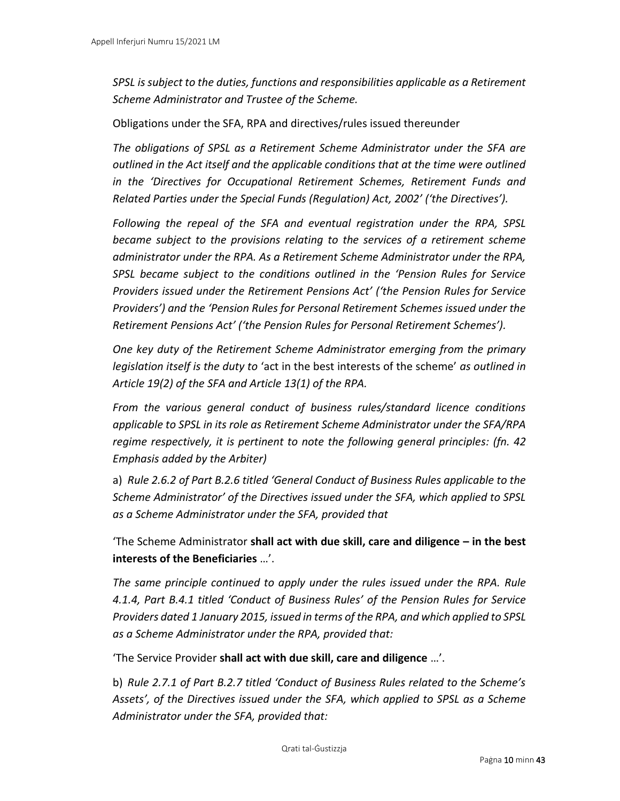*SPSL is subject to the duties, functions and responsibilities applicable as a Retirement Scheme Administrator and Trustee of the Scheme.* 

Obligations under the SFA, RPA and directives/rules issued thereunder

*The obligations of SPSL as a Retirement Scheme Administrator under the SFA are outlined in the Act itself and the applicable conditions that at the time were outlined in the 'Directives for Occupational Retirement Schemes, Retirement Funds and Related Parties under the Special Funds (Regulation) Act, 2002' ('the Directives').* 

*Following the repeal of the SFA and eventual registration under the RPA, SPSL became subject to the provisions relating to the services of a retirement scheme administrator under the RPA. As a Retirement Scheme Administrator under the RPA, SPSL became subject to the conditions outlined in the 'Pension Rules for Service Providers issued under the Retirement Pensions Act' ('the Pension Rules for Service Providers') and the 'Pension Rules for Personal Retirement Schemes issued under the Retirement Pensions Act' ('the Pension Rules for Personal Retirement Schemes').* 

*One key duty of the Retirement Scheme Administrator emerging from the primary legislation itself is the duty to* 'act in the best interests of the scheme' *as outlined in Article 19(2) of the SFA and Article 13(1) of the RPA.* 

*From the various general conduct of business rules/standard licence conditions applicable to SPSL in its role as Retirement Scheme Administrator under the SFA/RPA regime respectively, it is pertinent to note the following general principles: (fn. 42 Emphasis added by the Arbiter)*

a) *Rule 2.6.2 of Part B.2.6 titled 'General Conduct of Business Rules applicable to the Scheme Administrator' of the Directives issued under the SFA, which applied to SPSL as a Scheme Administrator under the SFA, provided that* 

'The Scheme Administrator **shall act with due skill, care and diligence – in the best interests of the Beneficiaries** …'.

*The same principle continued to apply under the rules issued under the RPA. Rule 4.1.4, Part B.4.1 titled 'Conduct of Business Rules' of the Pension Rules for Service Providers dated 1 January 2015, issued in terms of the RPA, and which applied to SPSL as a Scheme Administrator under the RPA, provided that:* 

'The Service Provider **shall act with due skill, care and diligence** …'.

b) *Rule 2.7.1 of Part B.2.7 titled 'Conduct of Business Rules related to the Scheme's Assets', of the Directives issued under the SFA, which applied to SPSL as a Scheme Administrator under the SFA, provided that:*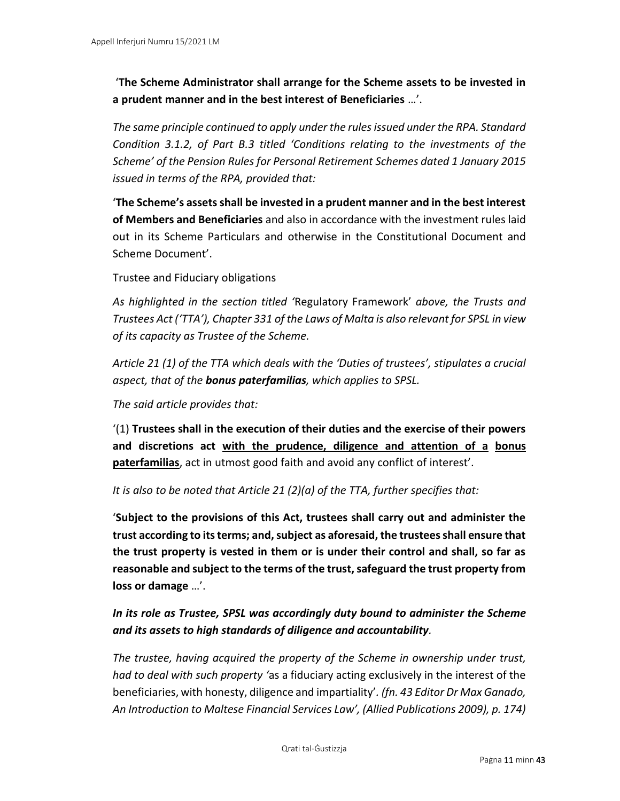'**The Scheme Administrator shall arrange for the Scheme assets to be invested in a prudent manner and in the best interest of Beneficiaries** …'.

*The same principle continued to apply under the rules issued under the RPA. Standard Condition 3.1.2, of Part B.3 titled 'Conditions relating to the investments of the Scheme' of the Pension Rules for Personal Retirement Schemes dated 1 January 2015 issued in terms of the RPA, provided that:* 

'**The Scheme's assets shall be invested in a prudent manner and in the best interest of Members and Beneficiaries** and also in accordance with the investment rules laid out in its Scheme Particulars and otherwise in the Constitutional Document and Scheme Document'.

Trustee and Fiduciary obligations

*As highlighted in the section titled '*Regulatory Framework' *above, the Trusts and Trustees Act ('TTA'), Chapter 331 of the Laws of Malta is also relevant for SPSL in view of its capacity as Trustee of the Scheme.* 

*Article 21 (1) of the TTA which deals with the 'Duties of trustees', stipulates a crucial aspect, that of the bonus paterfamilias, which applies to SPSL.* 

*The said article provides that:*

'(1) **Trustees shall in the execution of their duties and the exercise of their powers and discretions act with the prudence, diligence and attention of a bonus paterfamilias**, act in utmost good faith and avoid any conflict of interest'.

*It is also to be noted that Article 21 (2)(a) of the TTA, further specifies that:* 

'**Subject to the provisions of this Act, trustees shall carry out and administer the trust according to its terms; and, subject as aforesaid, the trustees shall ensure that the trust property is vested in them or is under their control and shall, so far as reasonable and subject to the terms of the trust, safeguard the trust property from loss or damage** …'.

# *In its role as Trustee, SPSL was accordingly duty bound to administer the Scheme and its assets to high standards of diligence and accountability.*

*The trustee, having acquired the property of the Scheme in ownership under trust, had to deal with such property '*as a fiduciary acting exclusively in the interest of the beneficiaries, with honesty, diligence and impartiality'*. (fn. 43 Editor Dr Max Ganado, An Introduction to Maltese Financial Services Law', (Allied Publications 2009), p. 174)*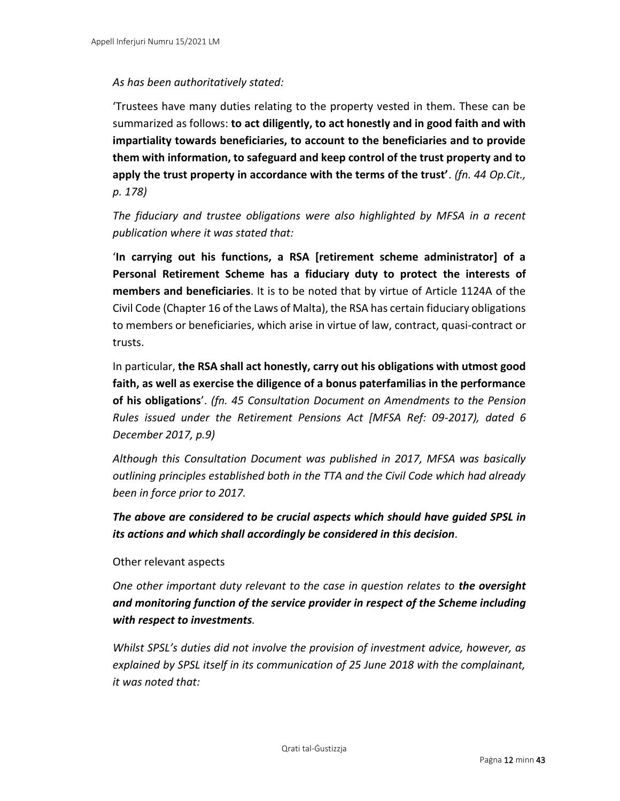# *As has been authoritatively stated:*

'Trustees have many duties relating to the property vested in them. These can be summarized as follows: **to act diligently, to act honestly and in good faith and with impartiality towards beneficiaries, to account to the beneficiaries and to provide them with information, to safeguard and keep control of the trust property and to apply the trust property in accordance with the terms of the trust'**. *(fn. 44 Op.Cit., p. 178)*

*The fiduciary and trustee obligations were also highlighted by MFSA in a recent publication where it was stated that:* 

'**In carrying out his functions, a RSA [retirement scheme administrator] of a Personal Retirement Scheme has a fiduciary duty to protect the interests of members and beneficiaries**. It is to be noted that by virtue of Article 1124A of the Civil Code (Chapter 16 of the Laws of Malta), the RSA has certain fiduciary obligations to members or beneficiaries, which arise in virtue of law, contract, quasi-contract or trusts.

In particular, **the RSA shall act honestly, carry out his obligations with utmost good faith, as well as exercise the diligence of a bonus paterfamilias in the performance of his obligations**'. *(fn. 45 Consultation Document on Amendments to the Pension Rules issued under the Retirement Pensions Act [MFSA Ref: 09-2017), dated 6 December 2017, p.9)*

*Although this Consultation Document was published in 2017, MFSA was basically outlining principles established both in the TTA and the Civil Code which had already been in force prior to 2017.* 

*The above are considered to be crucial aspects which should have guided SPSL in its actions and which shall accordingly be considered in this decision.* 

# Other relevant aspects

*One other important duty relevant to the case in question relates to the oversight and monitoring function of the service provider in respect of the Scheme including with respect to investments.* 

*Whilst SPSL's duties did not involve the provision of investment advice, however, as explained by SPSL itself in its communication of 25 June 2018 with the complainant, it was noted that:*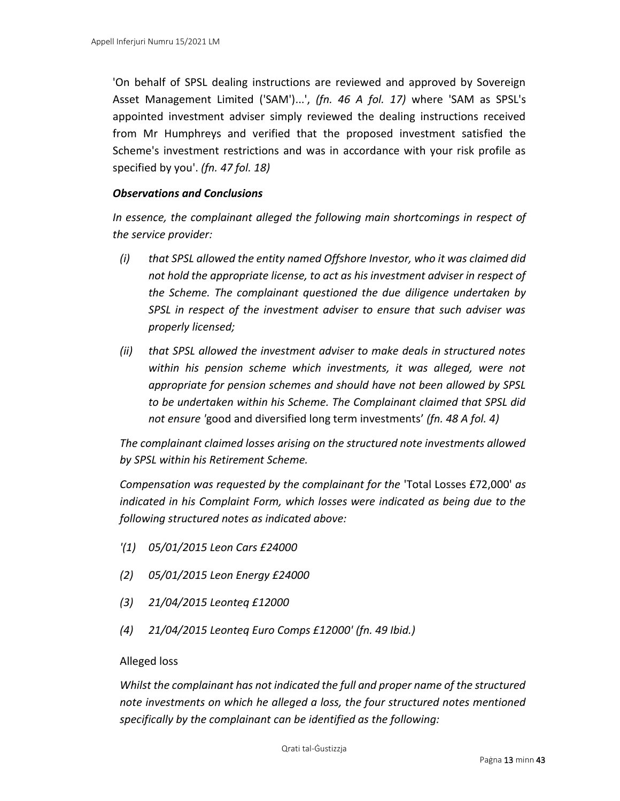'On behalf of SPSL dealing instructions are reviewed and approved by Sovereign Asset Management Limited ('SAM')...', *(fn. 46 A fol. 17)* where 'SAM as SPSL's appointed investment adviser simply reviewed the dealing instructions received from Mr Humphreys and verified that the proposed investment satisfied the Scheme's investment restrictions and was in accordance with your risk profile as specified by you'. *(fn. 47 fol. 18)*

#### *Observations and Conclusions*

*In essence, the complainant alleged the following main shortcomings in respect of the service provider:* 

- *(i) that SPSL allowed the entity named Offshore Investor, who it was claimed did not hold the appropriate license, to act as his investment adviser in respect of the Scheme. The complainant questioned the due diligence undertaken by SPSL in respect of the investment adviser to ensure that such adviser was properly licensed;*
- *(ii) that SPSL allowed the investment adviser to make deals in structured notes within his pension scheme which investments, it was alleged, were not appropriate for pension schemes and should have not been allowed by SPSL to be undertaken within his Scheme. The Complainant claimed that SPSL did not ensure '*good and diversified long term investments' *(fn. 48 A fol. 4)*

*The complainant claimed losses arising on the structured note investments allowed by SPSL within his Retirement Scheme.* 

*Compensation was requested by the complainant for the* 'Total Losses £72,000' *as indicated in his Complaint Form, which losses were indicated as being due to the following structured notes as indicated above:* 

- *'(1) 05/01/2015 Leon Cars £24000*
- *(2) 05/01/2015 Leon Energy £24000*
- *(3) 21/04/2015 Leonteq £12000*
- *(4) 21/04/2015 Leonteq Euro Comps £12000' (fn. 49 Ibid.)*

#### Alleged loss

*Whilst the complainant has not indicated the full and proper name of the structured note investments on which he alleged a loss, the four structured notes mentioned specifically by the complainant can be identified as the following:*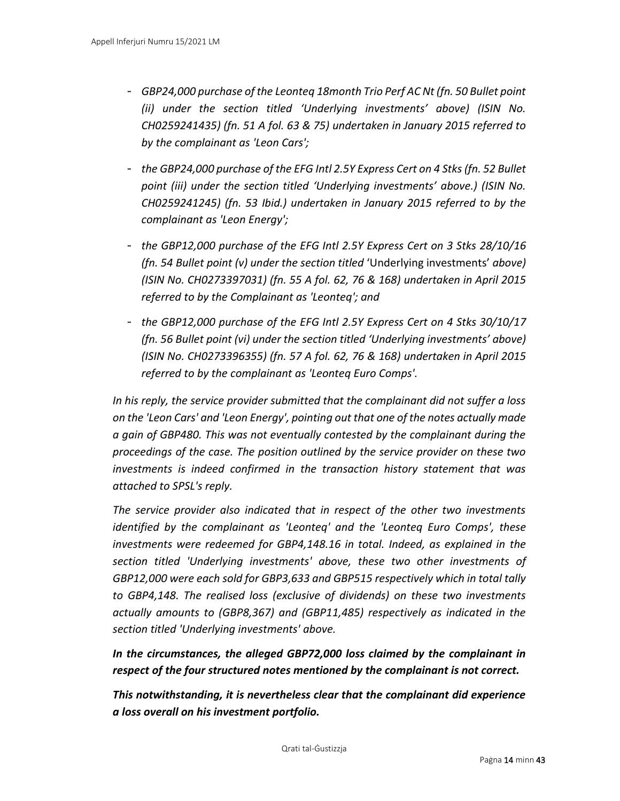- *GBP24,000 purchase of the Leonteq 18month Trio Perf AC Nt (fn. 50 Bullet point (ii) under the section titled 'Underlying investments' above) (ISIN No. CH0259241435) (fn. 51 A fol. 63 & 75) undertaken in January 2015 referred to by the complainant as 'Leon Cars';*
- *the GBP24,000 purchase of the EFG Intl 2.5Y Express Cert on 4 Stks(fn. 52 Bullet point (iii) under the section titled 'Underlying investments' above.) (ISIN No. CH0259241245) (fn. 53 Ibid.) undertaken in January 2015 referred to by the complainant as 'Leon Energy';*
- *the GBP12,000 purchase of the EFG Intl 2.5Y Express Cert on 3 Stks 28/10/16 (fn. 54 Bullet point (v) under the section titled* 'Underlying investments' *above) (ISIN No. CH0273397031) (fn. 55 A fol. 62, 76 & 168) undertaken in April 2015 referred to by the Complainant as 'Leonteq'; and*
- *the GBP12,000 purchase of the EFG Intl 2.5Y Express Cert on 4 Stks 30/10/17 (fn. 56 Bullet point (vi) under the section titled 'Underlying investments' above) (ISIN No. CH0273396355) (fn. 57 A fol. 62, 76 & 168) undertaken in April 2015 referred to by the complainant as 'Leonteq Euro Comps'.*

*In his reply, the service provider submitted that the complainant did not suffer a loss on the 'Leon Cars' and 'Leon Energy', pointing out that one of the notes actually made a gain of GBP480. This was not eventually contested by the complainant during the proceedings of the case. The position outlined by the service provider on these two investments is indeed confirmed in the transaction history statement that was attached to SPSL's reply.* 

*The service provider also indicated that in respect of the other two investments identified by the complainant as 'Leonteq' and the 'Leonteq Euro Comps', these investments were redeemed for GBP4,148.16 in total. Indeed, as explained in the section titled 'Underlying investments' above, these two other investments of GBP12,000 were each sold for GBP3,633 and GBP515 respectively which in total tally to GBP4,148. The realised loss (exclusive of dividends) on these two investments actually amounts to (GBP8,367) and (GBP11,485) respectively as indicated in the section titled 'Underlying investments' above.* 

*In the circumstances, the alleged GBP72,000 loss claimed by the complainant in respect of the four structured notes mentioned by the complainant is not correct.* 

*This notwithstanding, it is nevertheless clear that the complainant did experience a loss overall on his investment portfolio.*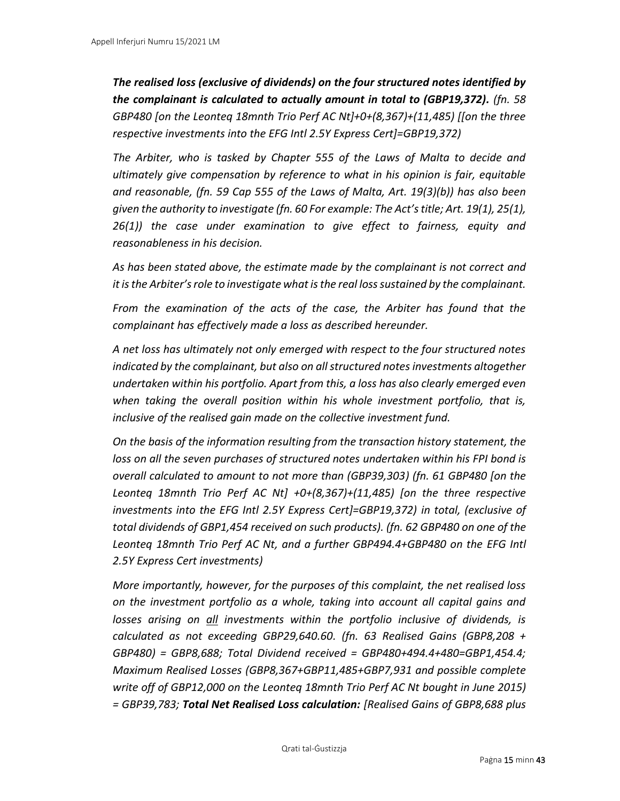*The realised loss (exclusive of dividends) on the four structured notes identified by the complainant is calculated to actually amount in total to (GBP19,372). (fn. 58 GBP480 [on the Leonteq 18mnth Trio Perf AC Nt]+0+(8,367)+(11,485) [[on the three respective investments into the EFG Intl 2.5Y Express Cert]=GBP19,372)*

*The Arbiter, who is tasked by Chapter 555 of the Laws of Malta to decide and ultimately give compensation by reference to what in his opinion is fair, equitable and reasonable, (fn. 59 Cap 555 of the Laws of Malta, Art. 19(3)(b)) has also been given the authority to investigate (fn. 60 For example: The Act's title; Art. 19(1), 25(1), 26(1)) the case under examination to give effect to fairness, equity and reasonableness in his decision.* 

*As has been stated above, the estimate made by the complainant is not correct and it is the Arbiter's role to investigate what is the real loss sustained by the complainant.* 

*From the examination of the acts of the case, the Arbiter has found that the complainant has effectively made a loss as described hereunder.* 

*A net loss has ultimately not only emerged with respect to the four structured notes indicated by the complainant, but also on all structured notes investments altogether undertaken within his portfolio. Apart from this, a loss has also clearly emerged even when taking the overall position within his whole investment portfolio, that is, inclusive of the realised gain made on the collective investment fund.* 

*On the basis of the information resulting from the transaction history statement, the loss on all the seven purchases of structured notes undertaken within his FPI bond is overall calculated to amount to not more than (GBP39,303) (fn. 61 GBP480 [on the Leonteq 18mnth Trio Perf AC Nt] +0+(8,367)+(11,485) [on the three respective investments into the EFG Intl 2.5Y Express Cert]=GBP19,372) in total, (exclusive of total dividends of GBP1,454 received on such products). (fn. 62 GBP480 on one of the*  Leonteg 18mnth Trio Perf AC Nt, and a further GBP494.4+GBP480 on the EFG Intl *2.5Y Express Cert investments)*

*More importantly, however, for the purposes of this complaint, the net realised loss on the investment portfolio as a whole, taking into account all capital gains and losses arising on all investments within the portfolio inclusive of dividends, is calculated as not exceeding GBP29,640.60. (fn. 63 Realised Gains (GBP8,208 + GBP480) = GBP8,688; Total Dividend received = GBP480+494.4+480=GBP1,454.4; Maximum Realised Losses (GBP8,367+GBP11,485+GBP7,931 and possible complete write off of GBP12,000 on the Leonteq 18mnth Trio Perf AC Nt bought in June 2015) = GBP39,783; Total Net Realised Loss calculation: [Realised Gains of GBP8,688 plus*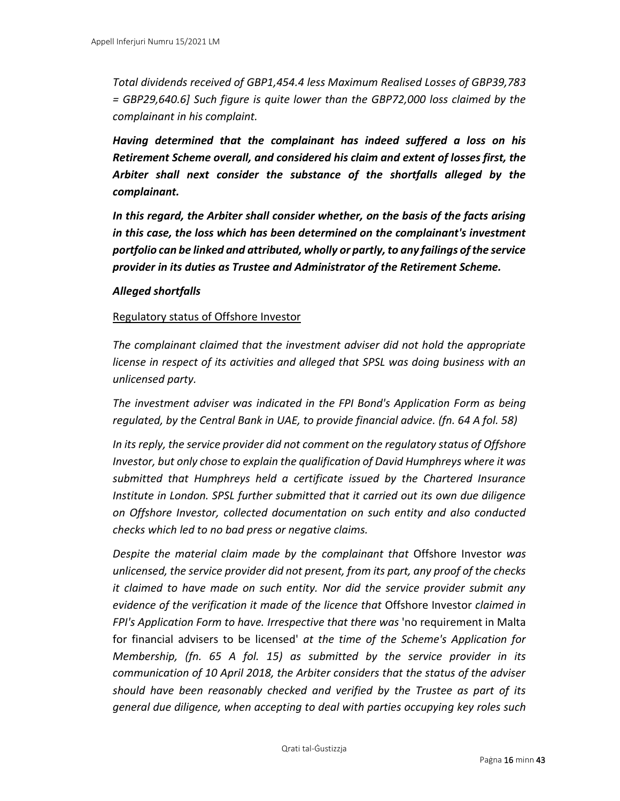*Total dividends received of GBP1,454.4 less Maximum Realised Losses of GBP39,783 = GBP29,640.6] Such figure is quite lower than the GBP72,000 loss claimed by the complainant in his complaint.* 

*Having determined that the complainant has indeed suffered a loss on his Retirement Scheme overall, and considered his claim and extent of losses first, the Arbiter shall next consider the substance of the shortfalls alleged by the complainant.* 

*In this regard, the Arbiter shall consider whether, on the basis of the facts arising in this case, the loss which has been determined on the complainant's investment portfolio can be linked and attributed, wholly or partly, to any failings of the service provider in its duties as Trustee and Administrator of the Retirement Scheme.* 

#### *Alleged shortfalls*

#### Regulatory status of Offshore Investor

*The complainant claimed that the investment adviser did not hold the appropriate license in respect of its activities and alleged that SPSL was doing business with an unlicensed party.* 

*The investment adviser was indicated in the FPI Bond's Application Form as being regulated, by the Central Bank in UAE, to provide financial advice. (fn. 64 A fol. 58)*

*In its reply, the service provider did not comment on the regulatory status of Offshore Investor, but only chose to explain the qualification of David Humphreys where it was submitted that Humphreys held a certificate issued by the Chartered Insurance Institute in London. SPSL further submitted that it carried out its own due diligence on Offshore Investor, collected documentation on such entity and also conducted checks which led to no bad press or negative claims.*

*Despite the material claim made by the complainant that* Offshore Investor *was unlicensed, the service provider did not present, from its part, any proof of the checks it claimed to have made on such entity. Nor did the service provider submit any evidence of the verification it made of the licence that* Offshore Investor *claimed in FPI's Application Form to have. Irrespective that there was* 'no requirement in Malta for financial advisers to be licensed' *at the time of the Scheme's Application for Membership, (fn. 65 A fol. 15) as submitted by the service provider in its communication of 10 April 2018, the Arbiter considers that the status of the adviser should have been reasonably checked and verified by the Trustee as part of its general due diligence, when accepting to deal with parties occupying key roles such*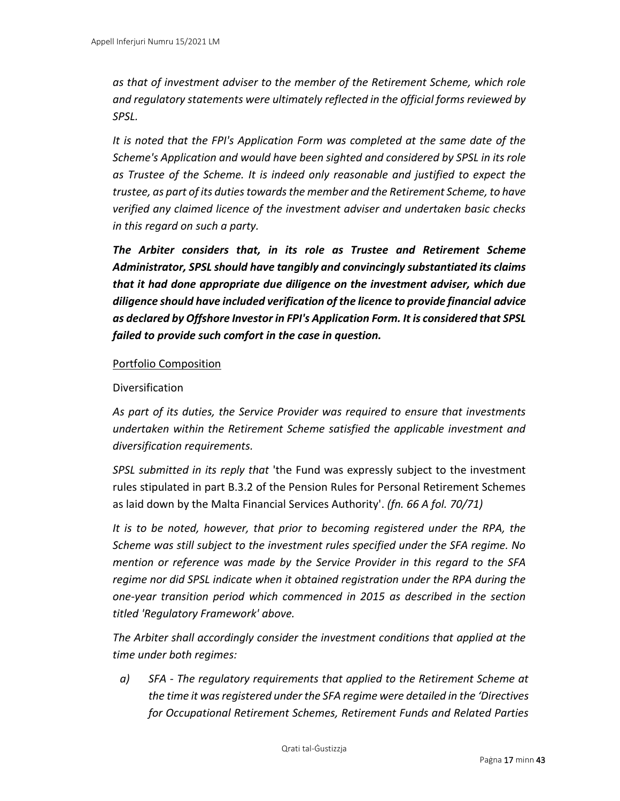*as that of investment adviser to the member of the Retirement Scheme, which role and regulatory statements were ultimately reflected in the official forms reviewed by SPSL.* 

*It is noted that the FPI's Application Form was completed at the same date of the Scheme's Application and would have been sighted and considered by SPSL in its role as Trustee of the Scheme. It is indeed only reasonable and justified to expect the trustee, as part of its duties towards the member and the Retirement Scheme, to have verified any claimed licence of the investment adviser and undertaken basic checks in this regard on such a party.* 

*The Arbiter considers that, in its role as Trustee and Retirement Scheme Administrator, SPSL should have tangibly and convincingly substantiated its claims that it had done appropriate due diligence on the investment adviser, which due diligence should have included verification of the licence to provide financial advice as declared by Offshore Investor in FPI's Application Form. It is considered that SPSL failed to provide such comfort in the case in question.* 

#### Portfolio Composition

#### Diversification

*As part of its duties, the Service Provider was required to ensure that investments undertaken within the Retirement Scheme satisfied the applicable investment and diversification requirements.* 

*SPSL submitted in its reply that* 'the Fund was expressly subject to the investment rules stipulated in part B.3.2 of the Pension Rules for Personal Retirement Schemes as laid down by the Malta Financial Services Authority'. *(fn. 66 A fol. 70/71)*

*It is to be noted, however, that prior to becoming registered under the RPA, the Scheme was still subject to the investment rules specified under the SFA regime. No mention or reference was made by the Service Provider in this regard to the SFA regime nor did SPSL indicate when it obtained registration under the RPA during the one-year transition period which commenced in 2015 as described in the section titled 'Regulatory Framework' above.* 

*The Arbiter shall accordingly consider the investment conditions that applied at the time under both regimes:* 

*a) SFA - The regulatory requirements that applied to the Retirement Scheme at the time it was registered under the SFA regime were detailed in the 'Directives for Occupational Retirement Schemes, Retirement Funds and Related Parties*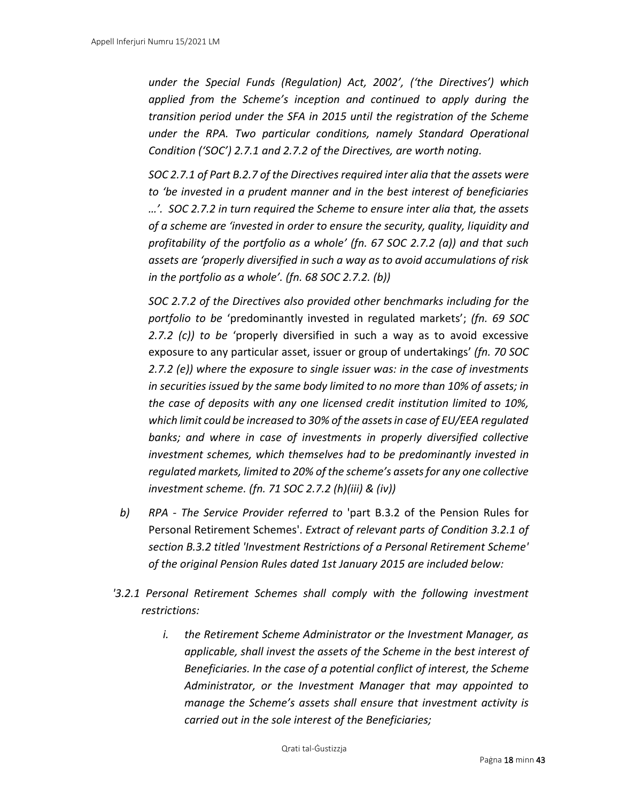*under the Special Funds (Regulation) Act, 2002', ('the Directives') which applied from the Scheme's inception and continued to apply during the transition period under the SFA in 2015 until the registration of the Scheme under the RPA. Two particular conditions, namely Standard Operational Condition ('SOC') 2.7.1 and 2.7.2 of the Directives, are worth noting.* 

*SOC 2.7.1 of Part B.2.7 of the Directives required inter alia that the assets were to 'be invested in a prudent manner and in the best interest of beneficiaries …'. SOC 2.7.2 in turn required the Scheme to ensure inter alia that, the assets of a scheme are 'invested in order to ensure the security, quality, liquidity and profitability of the portfolio as a whole' (fn. 67 SOC 2.7.2 (a)) and that such assets are 'properly diversified in such a way as to avoid accumulations of risk in the portfolio as a whole'. (fn. 68 SOC 2.7.2. (b))*

*SOC 2.7.2 of the Directives also provided other benchmarks including for the portfolio to be* 'predominantly invested in regulated markets'; *(fn. 69 SOC 2.7.2 (c)) to be* 'properly diversified in such a way as to avoid excessive exposure to any particular asset, issuer or group of undertakings' *(fn. 70 SOC 2.7.2 (e)) where the exposure to single issuer was: in the case of investments in securities issued by the same body limited to no more than 10% of assets; in the case of deposits with any one licensed credit institution limited to 10%, which limit could be increased to 30% of the assets in case of EU/EEA regulated banks; and where in case of investments in properly diversified collective investment schemes, which themselves had to be predominantly invested in regulated markets, limited to 20% of the scheme's assets for any one collective investment scheme. (fn. 71 SOC 2.7.2 (h)(iii) & (iv))*

- *b) RPA - The Service Provider referred to* 'part B.3.2 of the Pension Rules for Personal Retirement Schemes'. *Extract of relevant parts of Condition 3.2.1 of section B.3.2 titled 'Investment Restrictions of a Personal Retirement Scheme' of the original Pension Rules dated 1st January 2015 are included below:*
- *'3.2.1 Personal Retirement Schemes shall comply with the following investment restrictions:* 
	- *i. the Retirement Scheme Administrator or the Investment Manager, as applicable, shall invest the assets of the Scheme in the best interest of Beneficiaries. In the case of a potential conflict of interest, the Scheme Administrator, or the Investment Manager that may appointed to manage the Scheme's assets shall ensure that investment activity is carried out in the sole interest of the Beneficiaries;*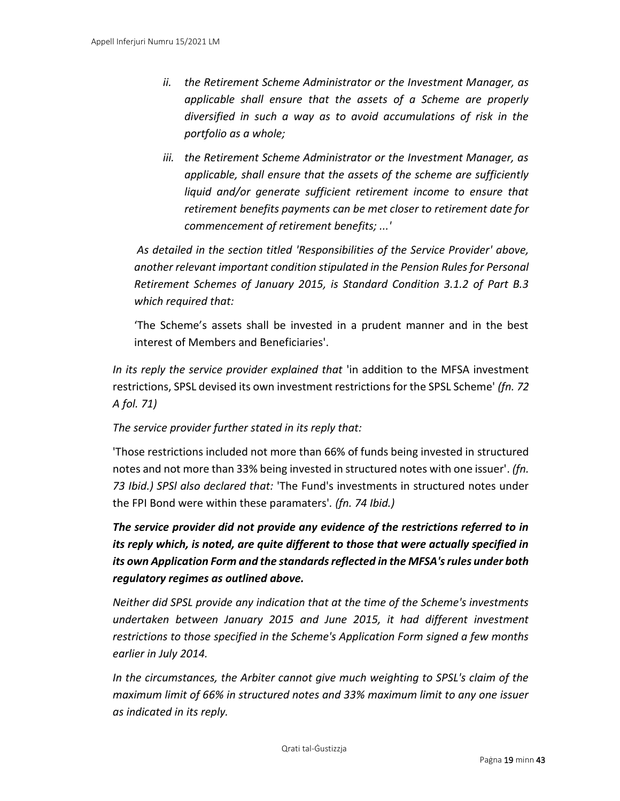- *ii. the Retirement Scheme Administrator or the Investment Manager, as applicable shall ensure that the assets of a Scheme are properly diversified in such a way as to avoid accumulations of risk in the portfolio as a whole;*
- *iii. the Retirement Scheme Administrator or the Investment Manager, as applicable, shall ensure that the assets of the scheme are sufficiently liquid and/or generate sufficient retirement income to ensure that retirement benefits payments can be met closer to retirement date for commencement of retirement benefits; ...'*

*As detailed in the section titled 'Responsibilities of the Service Provider' above, another relevant important condition stipulated in the Pension Rules for Personal Retirement Schemes of January 2015, is Standard Condition 3.1.2 of Part B.3 which required that:* 

'The Scheme's assets shall be invested in a prudent manner and in the best interest of Members and Beneficiaries'.

*In its reply the service provider explained that 'in addition to the MFSA investment* restrictions, SPSL devised its own investment restrictions for the SPSL Scheme' *(fn. 72 A fol. 71)*

# *The service provider further stated in its reply that:*

'Those restrictions included not more than 66% of funds being invested in structured notes and not more than 33% being invested in structured notes with one issuer'. *(fn. 73 Ibid.) SPSl also declared that:* 'The Fund's investments in structured notes under the FPI Bond were within these paramaters'*. (fn. 74 Ibid.)*

*The service provider did not provide any evidence of the restrictions referred to in its reply which, is noted, are quite different to those that were actually specified in its own Application Form and the standards reflected in the MFSA's rules under both regulatory regimes as outlined above.*

*Neither did SPSL provide any indication that at the time of the Scheme's investments undertaken between January 2015 and June 2015, it had different investment restrictions to those specified in the Scheme's Application Form signed a few months earlier in July 2014.* 

*In the circumstances, the Arbiter cannot give much weighting to SPSL's claim of the maximum limit of 66% in structured notes and 33% maximum limit to any one issuer as indicated in its reply.*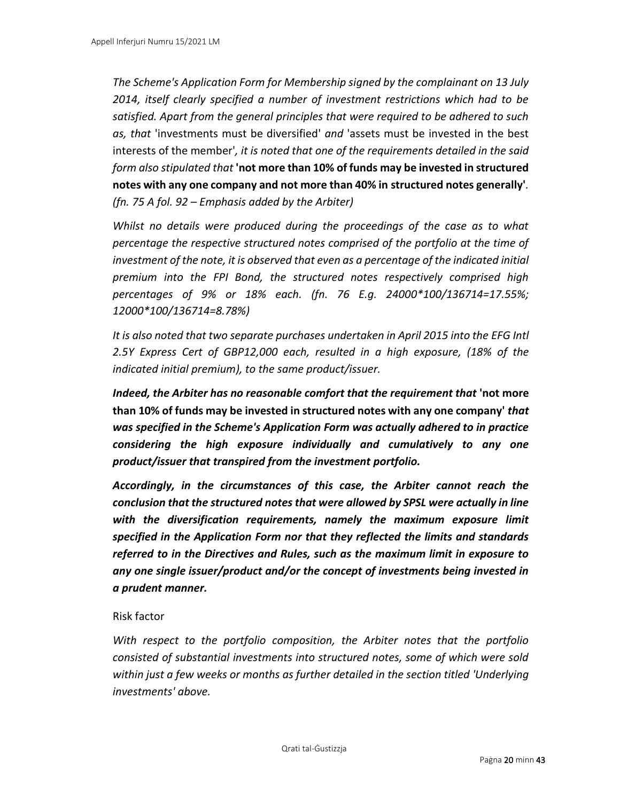*The Scheme's Application Form for Membership signed by the complainant on 13 July 2014, itself clearly specified a number of investment restrictions which had to be satisfied. Apart from the general principles that were required to be adhered to such as, that* 'investments must be diversified' *and* 'assets must be invested in the best interests of the member'*, it is noted that one of the requirements detailed in the said form also stipulated that* **'not more than 10% of funds may be invested in structured notes with any one company and not more than 40% in structured notes generally'***. (fn. 75 A fol. 92 – Emphasis added by the Arbiter)*

*Whilst no details were produced during the proceedings of the case as to what percentage the respective structured notes comprised of the portfolio at the time of investment of the note, it is observed that even as a percentage of the indicated initial premium into the FPI Bond, the structured notes respectively comprised high percentages of 9% or 18% each. (fn. 76 E.g. 24000\*100/136714=17.55%; 12000\*100/136714=8.78%)*

*It is also noted that two separate purchases undertaken in April 2015 into the EFG Intl 2.5Y Express Cert of GBP12,000 each, resulted in a high exposure, (18% of the indicated initial premium), to the same product/issuer.* 

*Indeed, the Arbiter has no reasonable comfort that the requirement that 'not more* **than 10% of funds may be invested in structured notes with any one company'** *that was specified in the Scheme's Application Form was actually adhered to in practice considering the high exposure individually and cumulatively to any one product/issuer that transpired from the investment portfolio.* 

*Accordingly, in the circumstances of this case, the Arbiter cannot reach the conclusion that the structured notes that were allowed by SPSL were actually in line with the diversification requirements, namely the maximum exposure limit specified in the Application Form nor that they reflected the limits and standards referred to in the Directives and Rules, such as the maximum limit in exposure to any one single issuer/product and/or the concept of investments being invested in a prudent manner.* 

# Risk factor

*With respect to the portfolio composition, the Arbiter notes that the portfolio consisted of substantial investments into structured notes, some of which were sold within just a few weeks or months as further detailed in the section titled 'Underlying investments' above.*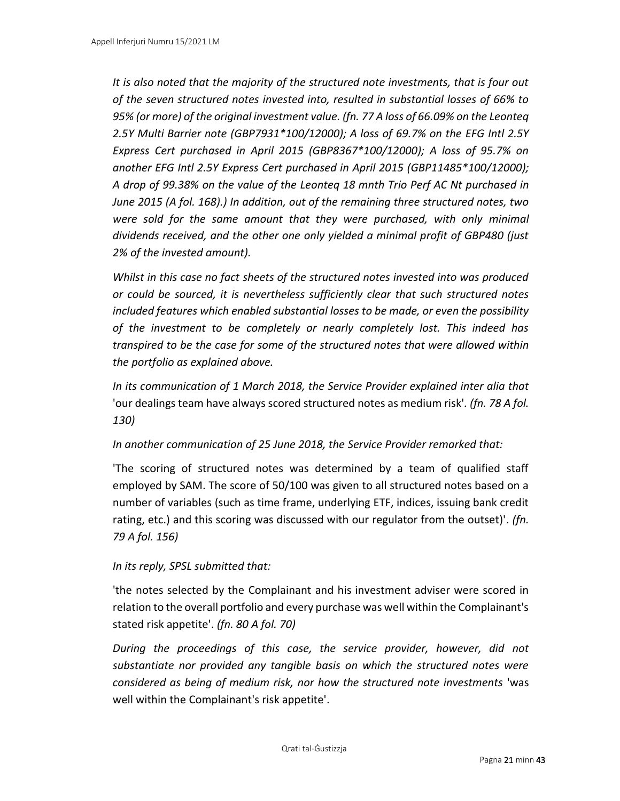*It is also noted that the majority of the structured note investments, that is four out of the seven structured notes invested into, resulted in substantial losses of 66% to 95% (or more) of the original investment value. (fn. 77 A loss of 66.09% on the Leonteq 2.5Y Multi Barrier note (GBP7931\*100/12000); A loss of 69.7% on the EFG Intl 2.5Y Express Cert purchased in April 2015 (GBP8367\*100/12000); A loss of 95.7% on another EFG Intl 2.5Y Express Cert purchased in April 2015 (GBP11485\*100/12000); A drop of 99.38% on the value of the Leonteq 18 mnth Trio Perf AC Nt purchased in June 2015 (A fol. 168).) In addition, out of the remaining three structured notes, two were sold for the same amount that they were purchased, with only minimal dividends received, and the other one only yielded a minimal profit of GBP480 (just 2% of the invested amount).* 

*Whilst in this case no fact sheets of the structured notes invested into was produced or could be sourced, it is nevertheless sufficiently clear that such structured notes included features which enabled substantial losses to be made, or even the possibility of the investment to be completely or nearly completely lost. This indeed has transpired to be the case for some of the structured notes that were allowed within the portfolio as explained above.* 

*In its communication of 1 March 2018, the Service Provider explained inter alia that*  'our dealings team have always scored structured notes as medium risk'*. (fn. 78 A fol. 130)*

# *In another communication of 25 June 2018, the Service Provider remarked that:*

'The scoring of structured notes was determined by a team of qualified staff employed by SAM. The score of 50/100 was given to all structured notes based on a number of variables (such as time frame, underlying ETF, indices, issuing bank credit rating, etc.) and this scoring was discussed with our regulator from the outset)'. *(fn. 79 A fol. 156)*

# *In its reply, SPSL submitted that:*

'the notes selected by the Complainant and his investment adviser were scored in relation to the overall portfolio and every purchase was well within the Complainant's stated risk appetite'. *(fn. 80 A fol. 70)*

*During the proceedings of this case, the service provider, however, did not substantiate nor provided any tangible basis on which the structured notes were considered as being of medium risk, nor how the structured note investments* 'was well within the Complainant's risk appetite'.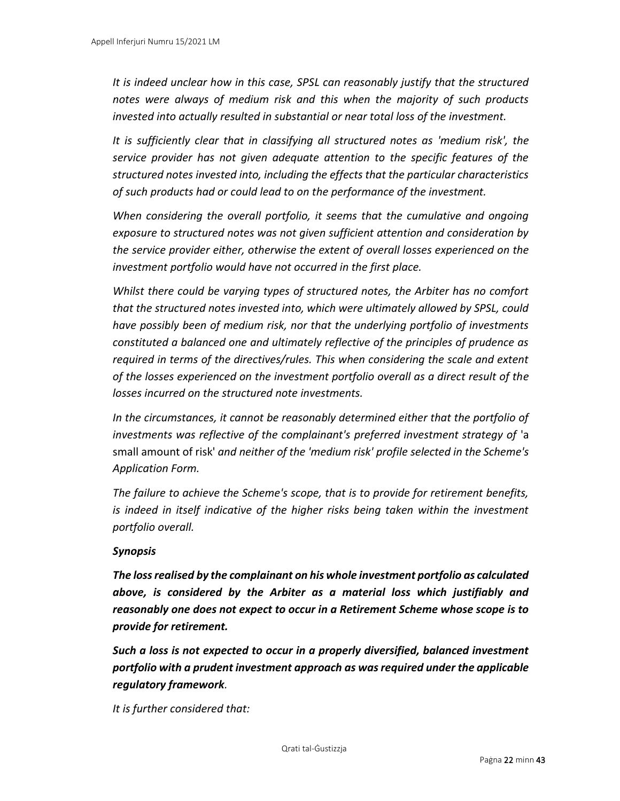*It is indeed unclear how in this case, SPSL can reasonably justify that the structured notes were always of medium risk and this when the majority of such products invested into actually resulted in substantial or near total loss of the investment.* 

*It is sufficiently clear that in classifying all structured notes as 'medium risk', the service provider has not given adequate attention to the specific features of the structured notes invested into, including the effects that the particular characteristics of such products had or could lead to on the performance of the investment.* 

When considering the overall portfolio, it seems that the cumulative and ongoing *exposure to structured notes was not given sufficient attention and consideration by the service provider either, otherwise the extent of overall losses experienced on the investment portfolio would have not occurred in the first place.* 

*Whilst there could be varying types of structured notes, the Arbiter has no comfort that the structured notes invested into, which were ultimately allowed by SPSL, could have possibly been of medium risk, nor that the underlying portfolio of investments constituted a balanced one and ultimately reflective of the principles of prudence as required in terms of the directives/rules. This when considering the scale and extent of the losses experienced on the investment portfolio overall as a direct result of the losses incurred on the structured note investments.* 

*In the circumstances, it cannot be reasonably determined either that the portfolio of investments was reflective of the complainant's preferred investment strategy of* 'a small amount of risk' *and neither of the 'medium risk' profile selected in the Scheme's Application Form.* 

*The failure to achieve the Scheme's scope, that is to provide for retirement benefits, is indeed in itself indicative of the higher risks being taken within the investment portfolio overall.* 

#### *Synopsis*

*The loss realised by the complainant on his whole investment portfolio as calculated above, is considered by the Arbiter as a material loss which justifiably and reasonably one does not expect to occur in a Retirement Scheme whose scope is to provide for retirement.* 

*Such a loss is not expected to occur in a properly diversified, balanced investment portfolio with a prudent investment approach as was required under the applicable regulatory framework.*

*It is further considered that:*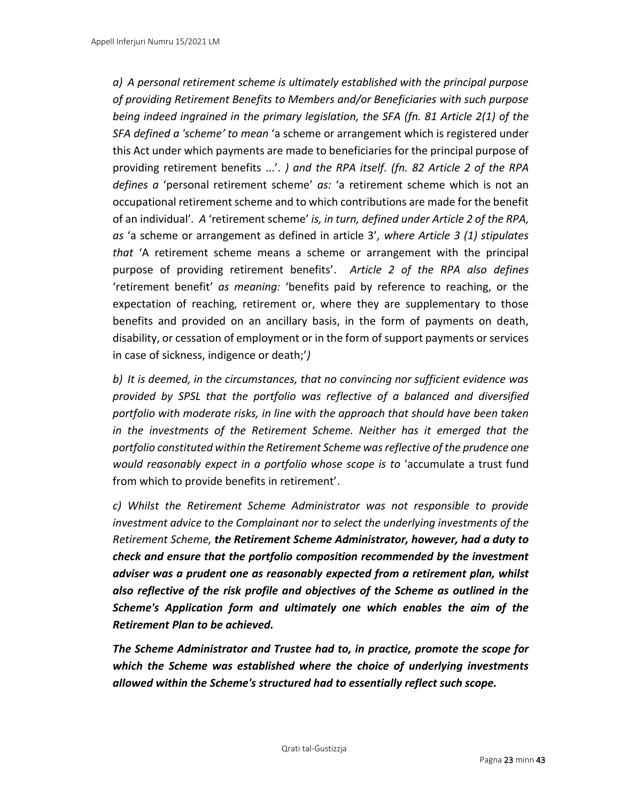*a) A personal retirement scheme is ultimately established with the principal purpose of providing Retirement Benefits to Members and/or Beneficiaries with such purpose being indeed ingrained in the primary legislation, the SFA (fn. 81 Article 2(1) of the SFA defined a 'scheme' to mean* 'a scheme or arrangement which is registered under this Act under which payments are made to beneficiaries for the principal purpose of providing retirement benefits ...'. *) and the RPA itself. (fn. 82 Article 2 of the RPA defines a* 'personal retirement scheme' *as:* 'a retirement scheme which is not an occupational retirement scheme and to which contributions are made for the benefit of an individual'*. A* 'retirement scheme' *is, in turn, defined under Article 2 of the RPA, as* 'a scheme or arrangement as defined in article 3'*, where Article 3 (1) stipulates that* 'A retirement scheme means a scheme or arrangement with the principal purpose of providing retirement benefits'. *Article 2 of the RPA also defines*  'retirement benefit' *as meaning:* 'benefits paid by reference to reaching, or the expectation of reaching, retirement or, where they are supplementary to those benefits and provided on an ancillary basis, in the form of payments on death, disability, or cessation of employment or in the form of support payments or services in case of sickness, indigence or death;'*)*

*b) It is deemed, in the circumstances, that no convincing nor sufficient evidence was provided by SPSL that the portfolio was reflective of a balanced and diversified portfolio with moderate risks, in line with the approach that should have been taken in the investments of the Retirement Scheme. Neither has it emerged that the portfolio constituted within the Retirement Scheme was reflective of the prudence one would reasonably expect in a portfolio whose scope is to* 'accumulate a trust fund from which to provide benefits in retirement'.

*c) Whilst the Retirement Scheme Administrator was not responsible to provide investment advice to the Complainant nor to select the underlying investments of the Retirement Scheme, the Retirement Scheme Administrator, however, had a duty to check and ensure that the portfolio composition recommended by the investment adviser was a prudent one as reasonably expected from a retirement plan, whilst also reflective of the risk profile and objectives of the Scheme as outlined in the Scheme's Application form and ultimately one which enables the aim of the Retirement Plan to be achieved.*

*The Scheme Administrator and Trustee had to, in practice, promote the scope for which the Scheme was established where the choice of underlying investments allowed within the Scheme's structured had to essentially reflect such scope.*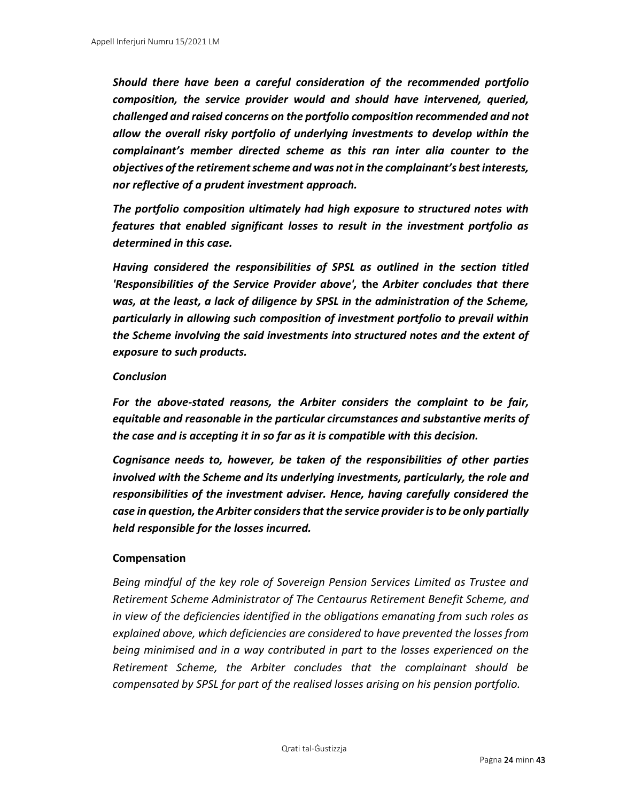*Should there have been a careful consideration of the recommended portfolio composition, the service provider would and should have intervened, queried, challenged and raised concerns on the portfolio composition recommended and not allow the overall risky portfolio of underlying investments to develop within the complainant's member directed scheme as this ran inter alia counter to the objectives of the retirement scheme and was not in the complainant's best interests, nor reflective of a prudent investment approach.* 

*The portfolio composition ultimately had high exposure to structured notes with features that enabled significant losses to result in the investment portfolio as determined in this case.*

*Having considered the responsibilities of SPSL as outlined in the section titled 'Responsibilities of the Service Provider above',* **the** *Arbiter concludes that there was, at the least, a lack of diligence by SPSL in the administration of the Scheme, particularly in allowing such composition of investment portfolio to prevail within the Scheme involving the said investments into structured notes and the extent of exposure to such products.* 

#### *Conclusion*

*For the above-stated reasons, the Arbiter considers the complaint to be fair, equitable and reasonable in the particular circumstances and substantive merits of the case and is accepting it in so far as it is compatible with this decision.*

*Cognisance needs to, however, be taken of the responsibilities of other parties involved with the Scheme and its underlying investments, particularly, the role and responsibilities of the investment adviser. Hence, having carefully considered the case in question, the Arbiter considers that the service provider is to be only partially held responsible for the losses incurred.* 

# **Compensation**

*Being mindful of the key role of Sovereign Pension Services Limited as Trustee and Retirement Scheme Administrator of The Centaurus Retirement Benefit Scheme, and in view of the deficiencies identified in the obligations emanating from such roles as explained above, which deficiencies are considered to have prevented the losses from being minimised and in a way contributed in part to the losses experienced on the Retirement Scheme, the Arbiter concludes that the complainant should be compensated by SPSL for part of the realised losses arising on his pension portfolio.*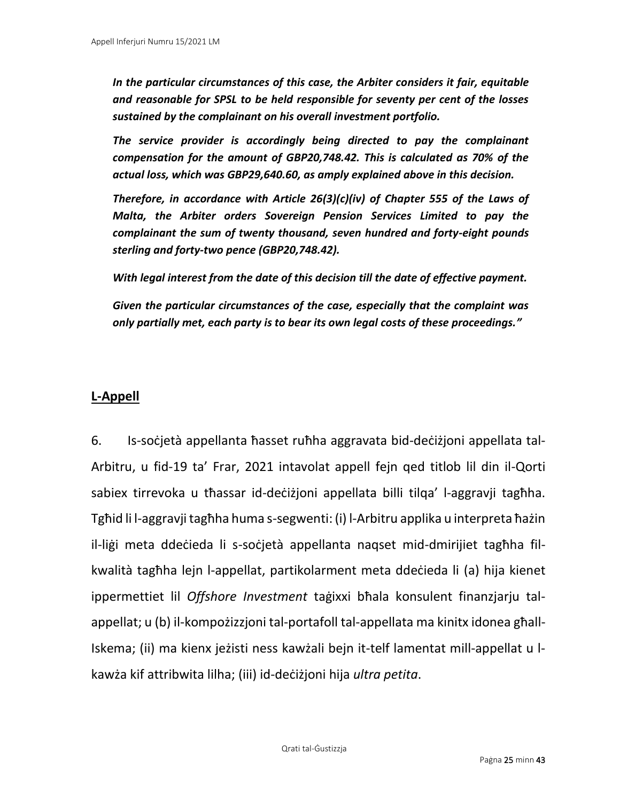*In the particular circumstances of this case, the Arbiter considers it fair, equitable and reasonable for SPSL to be held responsible for seventy per cent of the losses sustained by the complainant on his overall investment portfolio.* 

*The service provider is accordingly being directed to pay the complainant compensation for the amount of GBP20,748.42. This is calculated as 70% of the actual loss, which was GBP29,640.60, as amply explained above in this decision.* 

*Therefore, in accordance with Article 26(3)(c)(iv) of Chapter 555 of the Laws of Malta, the Arbiter orders Sovereign Pension Services Limited to pay the complainant the sum of twenty thousand, seven hundred and forty-eight pounds sterling and forty-two pence (GBP20,748.42).* 

*With legal interest from the date of this decision till the date of effective payment.* 

*Given the particular circumstances of the case, especially that the complaint was only partially met, each party is to bear its own legal costs of these proceedings."*

# **L-Appell**

6. Is-soċjetà appellanta ħasset ruħha aggravata bid-deċiżjoni appellata tal-Arbitru, u fid-19 ta' Frar, 2021 intavolat appell fejn qed titlob lil din il-Qorti sabiex tirrevoka u tħassar id-deċiżjoni appellata billi tilqa' l-aggravji tagħha. Tgħid li l-aggravji tagħha huma s-segwenti: (i) l-Arbitru applika u interpreta ħażin il-liġi meta ddeċieda li s-soċjetà appellanta naqset mid-dmirijiet tagħha filkwalità tagħha lejn l-appellat, partikolarment meta ddeċieda li (a) hija kienet ippermettiet lil *Offshore Investment* taġixxi bħala konsulent finanzjarju talappellat; u (b) il-kompożizzjoni tal-portafoll tal-appellata ma kinitx idonea għall-Iskema; (ii) ma kienx jeżisti ness kawżali bejn it-telf lamentat mill-appellat u lkawża kif attribwita lilha; (iii) id-deċiżjoni hija *ultra petita*.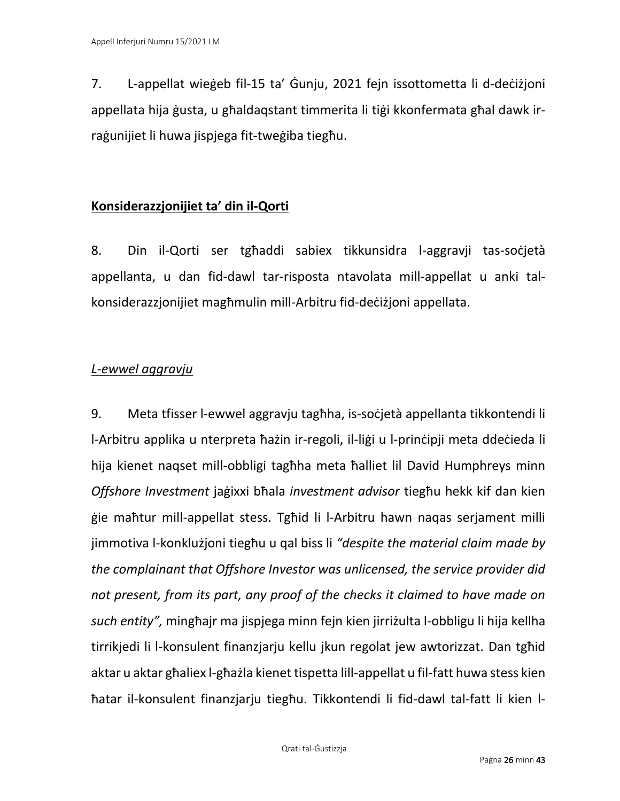7. L-appellat wieġeb fil-15 ta' Ġunju, 2021 fejn issottometta li d-deċiżjoni appellata hija ġusta, u għaldaqstant timmerita li tiġi kkonfermata għal dawk irraġunijiet li huwa jispjega fit-tweġiba tiegħu.

# **Konsiderazzjonijiet ta' din il-Qorti**

8. Din il-Qorti ser tgħaddi sabiex tikkunsidra l-aggravii tas-soċjetà appellanta, u dan fid-dawl tar-risposta ntavolata mill-appellat u anki talkonsiderazzjonijiet magħmulin mill-Arbitru fid-deċiżjoni appellata.

# *L-ewwel aggravju*

9. Meta tfisser l-ewwel aggravju tagħha, is-soċjetà appellanta tikkontendi li l-Arbitru applika u nterpreta ħażin ir-regoli, il-liġi u l-prinċipji meta ddeċieda li hija kienet naqset mill-obbligi tagħha meta ħalliet lil David Humphreys minn *Offshore Investment* jaġixxi bħala *investment advisor* tiegħu hekk kif dan kien ġie maħtur mill-appellat stess. Tgħid li l-Arbitru hawn naqas serjament milli jimmotiva l-konklużjoni tiegħu u qal biss li *"despite the material claim made by the complainant that Offshore Investor was unlicensed, the service provider did not present, from its part, any proof of the checks it claimed to have made on such entity",* mingħajr ma jispjega minn fejn kien jirriżulta l-obbligu li hija kellha tirrikjedi li l-konsulent finanzjarju kellu jkun regolat jew awtorizzat. Dan tgħid aktar u aktar għaliex l-għażla kienet tispetta lill-appellat u fil-fatt huwa stess kien ħatar il-konsulent finanzjarju tiegħu. Tikkontendi li fid-dawl tal-fatt li kien l-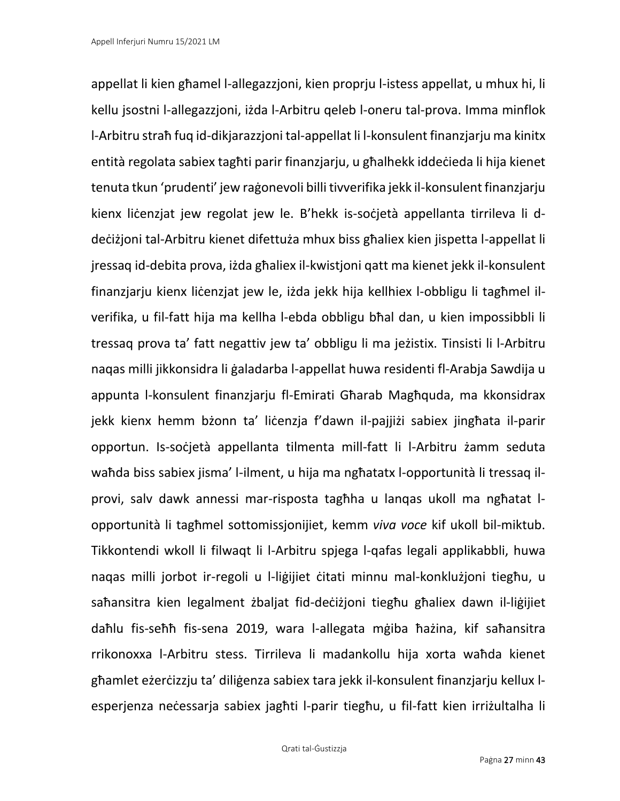appellat li kien għamel l-allegazzjoni, kien proprju l-istess appellat, u mhux hi, li kellu jsostni l-allegazzjoni, iżda l-Arbitru qeleb l-oneru tal-prova. Imma minflok l-Arbitru straħ fuq id-dikjarazzjoni tal-appellat li l-konsulent finanzjarju ma kinitx entità regolata sabiex tagħti parir finanzjarju, u għalhekk iddeċieda li hija kienet tenuta tkun 'prudenti' jew raġonevoli billi tivverifika jekk il-konsulent finanzjarju kienx liċenzjat jew regolat jew le. B'hekk is-soċjetà appellanta tirrileva li ddeċiżjoni tal-Arbitru kienet difettuża mhux biss għaliex kien jispetta l-appellat li jressaq id-debita prova, iżda għaliex il-kwistjoni qatt ma kienet jekk il-konsulent finanzjarju kienx liċenzjat jew le, iżda jekk hija kellhiex l-obbligu li tagħmel ilverifika, u fil-fatt hija ma kellha l-ebda obbligu bħal dan, u kien impossibbli li tressaq prova ta' fatt negattiv jew ta' obbligu li ma jeżistix. Tinsisti li l-Arbitru naqas milli jikkonsidra li ġaladarba l-appellat huwa residenti fl-Arabja Sawdija u appunta l-konsulent finanzjarju fl-Emirati Għarab Magħquda, ma kkonsidrax jekk kienx hemm bżonn ta' liċenzja f'dawn il-pajjiżi sabiex jingħata il-parir opportun. Is-soċjetà appellanta tilmenta mill-fatt li l-Arbitru żamm seduta waħda biss sabiex jisma' l-ilment, u hija ma ngħatatx l-opportunità li tressaq ilprovi, salv dawk annessi mar-risposta tagħha u lanqas ukoll ma ngħatat lopportunità li tagħmel sottomissjonijiet, kemm *viva voce* kif ukoll bil-miktub. Tikkontendi wkoll li filwaqt li l-Arbitru spjega l-qafas legali applikabbli, huwa naqas milli jorbot ir-regoli u l-liġijiet ċitati minnu mal-konklużjoni tiegħu, u saħansitra kien legalment żbaljat fid-deċiżjoni tiegħu għaliex dawn il-liġijiet daħlu fis-seħħ fis-sena 2019, wara l-allegata mġiba ħażina, kif saħansitra rrikonoxxa l-Arbitru stess. Tirrileva li madankollu hija xorta waħda kienet għamlet eżerċizzju ta' diliġenza sabiex tara jekk il-konsulent finanzjarju kellux lesperjenza neċessarja sabiex jagħti l-parir tiegħu, u fil-fatt kien irriżultalha li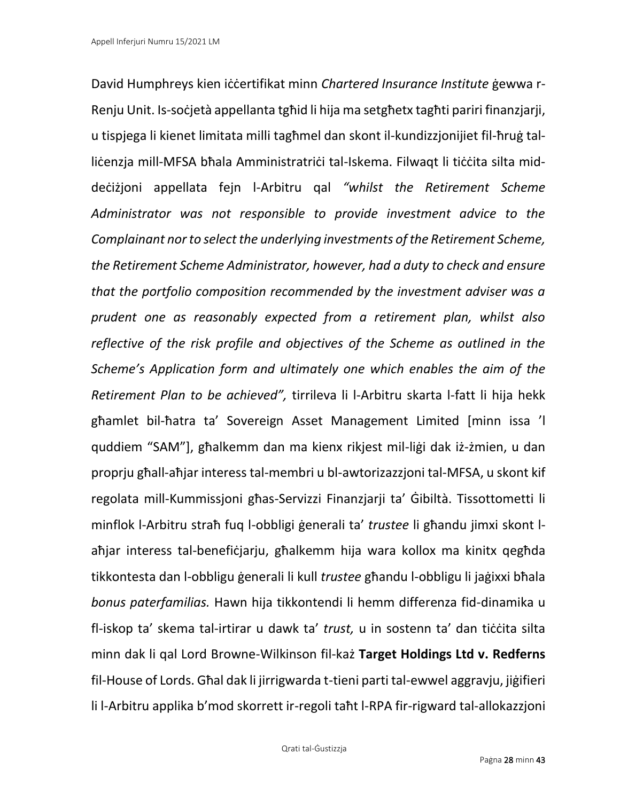David Humphreys kien iċċertifikat minn *Chartered Insurance Institute* ġewwa r-Renju Unit. Is-soċjetà appellanta tgħid li hija ma setgħetx tagħti pariri finanzjarji, u tispjega li kienet limitata milli tagħmel dan skont il-kundizzjonijiet fil-ħruġ talliċenzja mill-MFSA bħala Amministratriċi tal-Iskema. Filwaqt li tiċċita silta middeċiżjoni appellata fejn l-Arbitru qal *"whilst the Retirement Scheme Administrator was not responsible to provide investment advice to the Complainant nor to select the underlying investments of the Retirement Scheme, the Retirement Scheme Administrator, however, had a duty to check and ensure that the portfolio composition recommended by the investment adviser was a prudent one as reasonably expected from a retirement plan, whilst also reflective of the risk profile and objectives of the Scheme as outlined in the Scheme's Application form and ultimately one which enables the aim of the Retirement Plan to be achieved",* tirrileva li l-Arbitru skarta l-fatt li hija hekk għamlet bil-ħatra ta' Sovereign Asset Management Limited [minn issa 'l quddiem "SAM"], għalkemm dan ma kienx rikjest mil-liġi dak iż-żmien, u dan proprju għall-aħjar interess tal-membri u bl-awtorizazzjoni tal-MFSA, u skont kif regolata mill-Kummissjoni għas-Servizzi Finanzjarji ta' Ġibiltà. Tissottometti li minflok l-Arbitru straħ fuq l-obbligi ġenerali ta' *trustee* li għandu jimxi skont laħjar interess tal-benefiċjarju, għalkemm hija wara kollox ma kinitx qegħda tikkontesta dan l-obbligu ġenerali li kull *trustee* għandu l-obbligu li jaġixxi bħala *bonus paterfamilias.* Hawn hija tikkontendi li hemm differenza fid-dinamika u fl-iskop ta' skema tal-irtirar u dawk ta' *trust*, u in sostenn ta' dan tiċċita silta minn dak li qal Lord Browne-Wilkinson fil-każ **Target Holdings Ltd v. Redferns**  fil-House of Lords. Għal dak li jirrigwarda t-tieni parti tal-ewwel aggravju, jiġifieri li l-Arbitru applika b'mod skorrett ir-regoli taħt l-RPA fir-rigward tal-allokazzjoni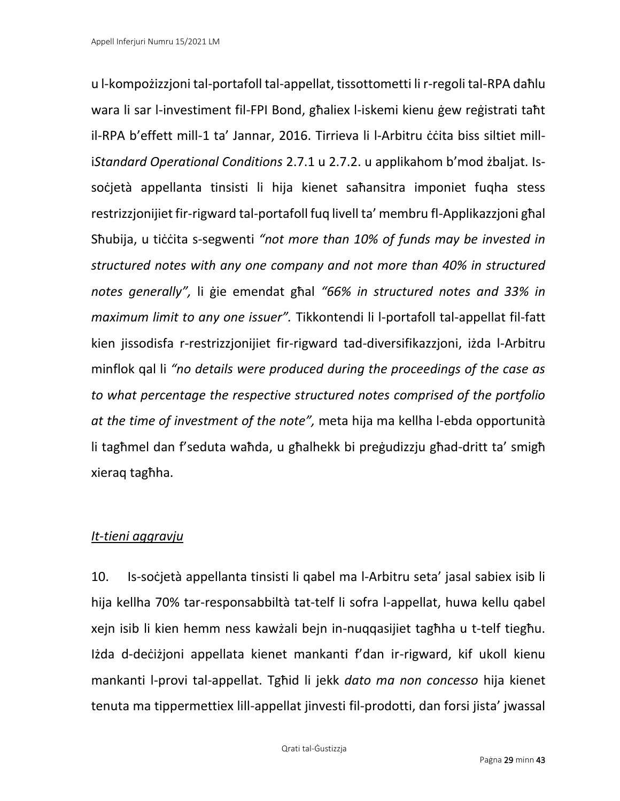u l-kompożizzjoni tal-portafoll tal-appellat, tissottometti li r-regoli tal-RPA daħlu wara li sar l-investiment fil-FPI Bond, għaliex l-iskemi kienu ġew reġistrati taħt il-RPA b'effett mill-1 ta' Jannar, 2016. Tirrieva li l-Arbitru ċċita biss siltiet milli*Standard Operational Conditions* 2.7.1 u 2.7.2. u applikahom b'mod żbaljat. Issoċjetà appellanta tinsisti li hija kienet saħansitra imponiet fuqha stess restrizzjonijiet fir-rigward tal-portafoll fuq livell ta' membru fl-Applikazzjoni għal Sħubija, u tiċċita s-segwenti *"not more than 10% of funds may be invested in structured notes with any one company and not more than 40% in structured notes generally",* li ġie emendat għal *"66% in structured notes and 33% in maximum limit to any one issuer".* Tikkontendi li l-portafoll tal-appellat fil-fatt kien jissodisfa r-restrizzjonijiet fir-rigward tad-diversifikazzjoni, iżda l-Arbitru minflok qal li *"no details were produced during the proceedings of the case as to what percentage the respective structured notes comprised of the portfolio at the time of investment of the note",* meta hija ma kellha l-ebda opportunità li tagħmel dan f'seduta waħda, u għalhekk bi preġudizzju għad-dritt ta' smigħ xieraq tagħha.

# *It-tieni aggravju*

10. Is-soċjetà appellanta tinsisti li qabel ma l-Arbitru seta' jasal sabiex isib li hija kellha 70% tar-responsabbiltà tat-telf li sofra l-appellat, huwa kellu qabel xejn isib li kien hemm ness kawżali bejn in-nuqqasijiet tagħha u t-telf tiegħu. Iżda d-deċiżjoni appellata kienet mankanti f'dan ir-rigward, kif ukoll kienu mankanti l-provi tal-appellat. Tgħid li jekk *dato ma non concesso* hija kienet tenuta ma tippermettiex lill-appellat jinvesti fil-prodotti, dan forsi jista' jwassal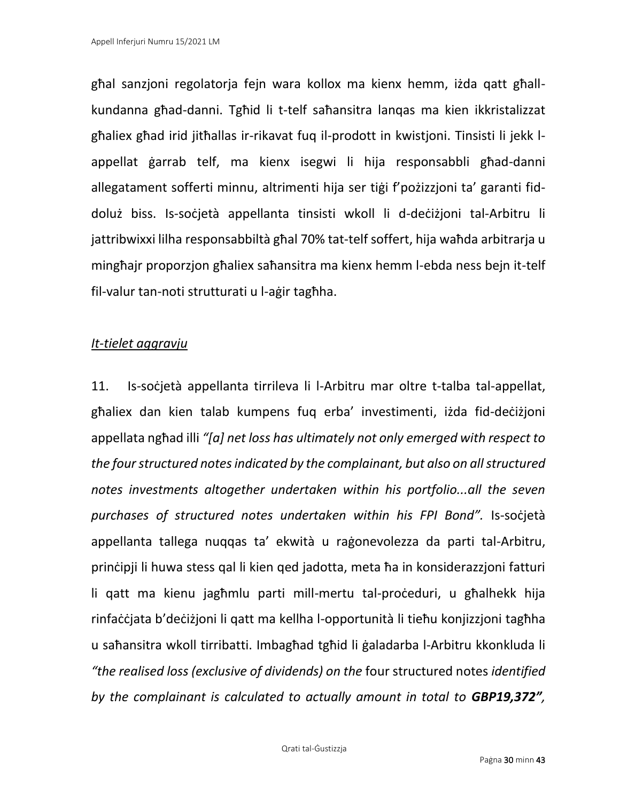għal sanzjoni regolatorja fejn wara kollox ma kienx hemm, iżda qatt għallkundanna għad-danni. Tgħid li t-telf saħansitra lanqas ma kien ikkristalizzat għaliex għad irid jitħallas ir-rikavat fuq il-prodott in kwistjoni. Tinsisti li jekk lappellat ġarrab telf, ma kienx isegwi li hija responsabbli għad-danni allegatament sofferti minnu, altrimenti hija ser tiġi f'pożizzjoni ta' garanti fiddoluż biss. Is-soċjetà appellanta tinsisti wkoll li d-deċiżjoni tal-Arbitru li jattribwixxi lilha responsabbiltà għal 70% tat-telf soffert, hija waħda arbitrarja u mingħajr proporzjon għaliex saħansitra ma kienx hemm l-ebda ness bejn it-telf fil-valur tan-noti strutturati u l-aġir tagħha.

# *It-tielet aggravju*

11. Is-soċjetà appellanta tirrileva li l-Arbitru mar oltre t-talba tal-appellat, għaliex dan kien talab kumpens fuq erba' investimenti, iżda fid-deċiżjoni appellata ngħad illi *"[a] net loss has ultimately not only emerged with respect to the four structured notes indicated by the complainant, but also on all structured notes investments altogether undertaken within his portfolio...all the seven purchases of structured notes undertaken within his FPI Bond".* Is-soċjetà appellanta tallega nuqqas ta' ekwità u raġonevolezza da parti tal-Arbitru, prinċipji li huwa stess qal li kien qed jadotta, meta ħa in konsiderazzjoni fatturi li qatt ma kienu jagħmlu parti mill-mertu tal-proċeduri, u għalhekk hija rinfaċċjata b'deċiżjoni li qatt ma kellha l-opportunità li tieħu konjizzjoni tagħha u saħansitra wkoll tirribatti. Imbagħad tgħid li ġaladarba l-Arbitru kkonkluda li *"the realised loss (exclusive of dividends) on the* four structured notes *identified by the complainant is calculated to actually amount in total to GBP19,372",*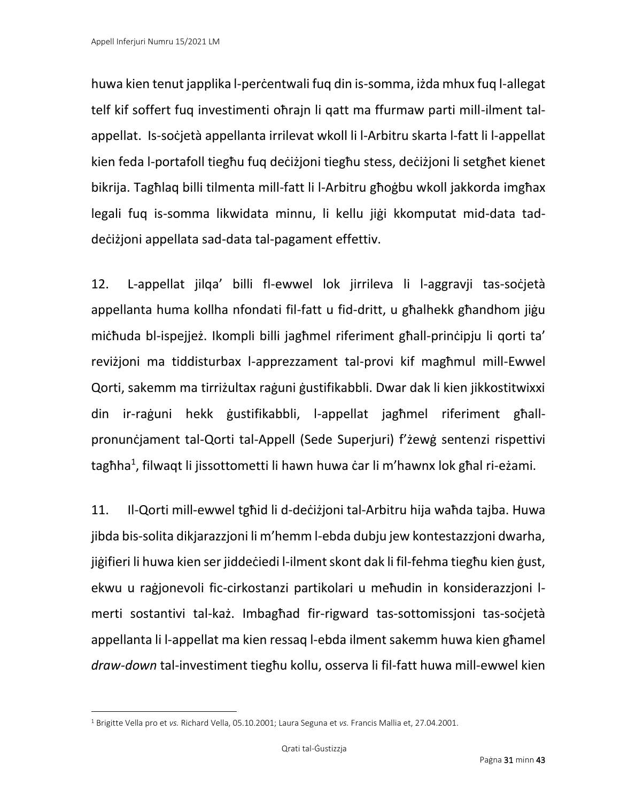huwa kien tenut japplika l-perċentwali fuq din is-somma, iżda mhux fuq l-allegat telf kif soffert fuq investimenti oħrajn li qatt ma ffurmaw parti mill-ilment talappellat. Is-soċjetà appellanta irrilevat wkoll li l-Arbitru skarta l-fatt li l-appellat kien feda l-portafoll tiegħu fuq deċiżjoni tiegħu stess, deċiżjoni li setgħet kienet bikrija. Tagħlaq billi tilmenta mill-fatt li l-Arbitru għoġbu wkoll jakkorda imgħax legali fuq is-somma likwidata minnu, li kellu jiġi kkomputat mid-data taddeċiżjoni appellata sad-data tal-pagament effettiv.

12. L-appellat jilqa' billi fl-ewwel lok jirrileva li l-aggravji tas-soċjetà appellanta huma kollha nfondati fil-fatt u fid-dritt, u għalhekk għandhom jiġu miċħuda bl-ispejjeż. Ikompli billi jagħmel riferiment għall-prinċipju li qorti ta' reviżjoni ma tiddisturbax l-apprezzament tal-provi kif magħmul mill-Ewwel Qorti, sakemm ma tirriżultax raġuni ġustifikabbli. Dwar dak li kien jikkostitwixxi din ir-raġuni hekk ġustifikabbli, l-appellat jagħmel riferiment għallpronunċjament tal-Qorti tal-Appell (Sede Superjuri) f'żewġ sentenzi rispettivi tagħha<sup>1</sup>, filwaqt li jissottometti li hawn huwa ċar li m'hawnx lok għal ri-eżami.

11. Il-Qorti mill-ewwel tgħid li d-deċiżjoni tal-Arbitru hija waħda tajba. Huwa jibda bis-solita dikjarazzjoni li m'hemm l-ebda dubju jew kontestazzjoni dwarha, jiġifieri li huwa kien ser jiddeċiedi l-ilment skont dak li fil-fehma tiegħu kien ġust, ekwu u raġjonevoli fic-cirkostanzi partikolari u meħudin in konsiderazzjoni lmerti sostantivi tal-każ. Imbagħad fir-rigward tas-sottomissjoni tas-soċjetà appellanta li l-appellat ma kien ressaq l-ebda ilment sakemm huwa kien għamel *draw-down* tal-investiment tiegħu kollu, osserva li fil-fatt huwa mill-ewwel kien

<sup>1</sup> Brigitte Vella pro et *vs.* Richard Vella, 05.10.2001; Laura Seguna et *vs.* Francis Mallia et, 27.04.2001.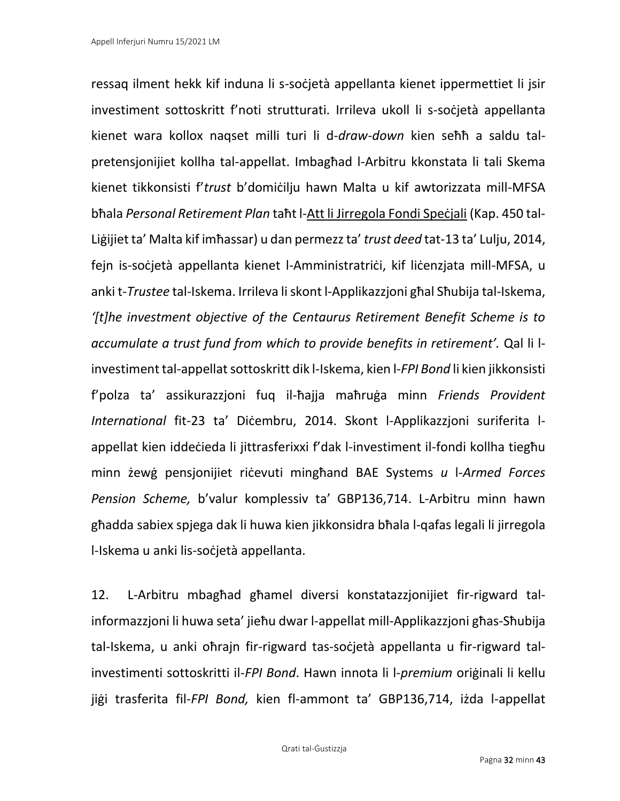ressaq ilment hekk kif induna li s-soċjetà appellanta kienet ippermettiet li jsir investiment sottoskritt f'noti strutturati. Irrileva ukoll li s-soċjetà appellanta kienet wara kollox naqset milli turi li d-*draw-down* kien seħħ a saldu talpretensjonijiet kollha tal-appellat. Imbagħad l-Arbitru kkonstata li tali Skema kienet tikkonsisti f'*trust* b'domiċilju hawn Malta u kif awtorizzata mill-MFSA bħala *Personal Retirement Plan* taħt l-Att li Jirregola Fondi Speċjali (Kap. 450 tal-Liġijiet ta' Malta kif imħassar) u dan permezz ta' *trust deed* tat-13 ta' Lulju, 2014, fejn is-soċjetà appellanta kienet l-Amministratriċi, kif liċenzjata mill-MFSA, u anki t-*Trustee* tal-Iskema. Irrileva li skont l-Applikazzjoni għal Sħubija tal-Iskema, *'[t]he investment objective of the Centaurus Retirement Benefit Scheme is to accumulate a trust fund from which to provide benefits in retirement'.* Qal li linvestiment tal-appellat sottoskritt dik l-Iskema, kien l-*FPI Bond* li kien jikkonsisti f'polza ta' assikurazzjoni fuq il-ħajja maħruġa minn *Friends Provident International* fit-23 ta' Diċembru, 2014. Skont l-Applikazzjoni suriferita lappellat kien iddeċieda li jittrasferixxi f'dak l-investiment il-fondi kollha tiegħu minn żewġ pensjonijiet riċevuti mingħand BAE Systems *u* l-*Armed Forces Pension Scheme,* b'valur komplessiv ta' GBP136,714. L-Arbitru minn hawn għadda sabiex spjega dak li huwa kien jikkonsidra bħala l-qafas legali li jirregola l-Iskema u anki lis-soċjetà appellanta.

12. L-Arbitru mbagħad għamel diversi konstatazzjonijiet fir-rigward talinformazzjoni li huwa seta' jieħu dwar l-appellat mill-Applikazzjoni għas-Sħubija tal-Iskema, u anki oħrajn fir-rigward tas-soċjetà appellanta u fir-rigward talinvestimenti sottoskritti il-*FPI Bond*. Hawn innota li l-*premium* oriġinali li kellu jiġi trasferita fil-*FPI Bond,* kien fl-ammont ta' GBP136,714, iżda l-appellat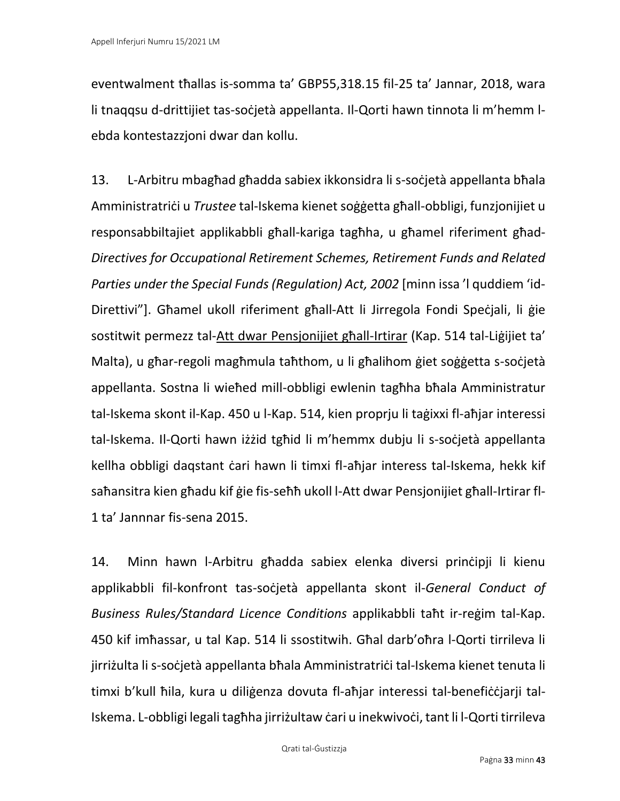eventwalment tħallas is-somma ta' GBP55,318.15 fil-25 ta' Jannar, 2018, wara li tnaqqsu d-drittijiet tas-soċjetà appellanta. Il-Qorti hawn tinnota li m'hemm lebda kontestazzjoni dwar dan kollu.

13. L-Arbitru mbagħad għadda sabiex ikkonsidra li s-soċjetà appellanta bħala Amministratriċi u *Trustee* tal-Iskema kienet soġġetta għall-obbligi, funzjonijiet u responsabbiltajiet applikabbli għall-kariga tagħha, u għamel riferiment għad-*Directives for Occupational Retirement Schemes, Retirement Funds and Related Parties under the Special Funds (Regulation) Act, 2002* [minn issa 'l quddiem 'id-Direttivi"]. Għamel ukoll riferiment għall-Att li Jirregola Fondi Speċjali, li ġie sostitwit permezz tal-Att dwar Pensjonijiet għall-Irtirar (Kap. 514 tal-Liġijiet ta' Malta), u għar-regoli magħmula taħthom, u li għalihom ġiet soġġetta s-soċjetà appellanta. Sostna li wieħed mill-obbligi ewlenin tagħha bħala Amministratur tal-Iskema skont il-Kap. 450 u l-Kap. 514, kien proprju li taġixxi fl-aħjar interessi tal-Iskema. Il-Qorti hawn iżżid tgħid li m'hemmx dubju li s-soċjetà appellanta kellha obbligi daqstant ċari hawn li timxi fl-aħjar interess tal-Iskema, hekk kif saħansitra kien għadu kif ġie fis-seħħ ukoll l-Att dwar Pensjonijiet għall-Irtirar fl-1 ta' Jannnar fis-sena 2015.

14. Minn hawn l-Arbitru għadda sabiex elenka diversi prinċipji li kienu applikabbli fil-konfront tas-soċjetà appellanta skont il-*General Conduct of Business Rules/Standard Licence Conditions* applikabbli taħt ir-reġim tal-Kap. 450 kif imħassar, u tal Kap. 514 li ssostitwih. Għal darb'oħra l-Qorti tirrileva li jirriżulta li s-soċjetà appellanta bħala Amministratriċi tal-Iskema kienet tenuta li timxi b'kull ħila, kura u diliġenza dovuta fl-aħjar interessi tal-benefiċċjarji tal-Iskema. L-obbligi legali tagħha jirriżultaw ċari u inekwivoċi, tant li l-Qorti tirrileva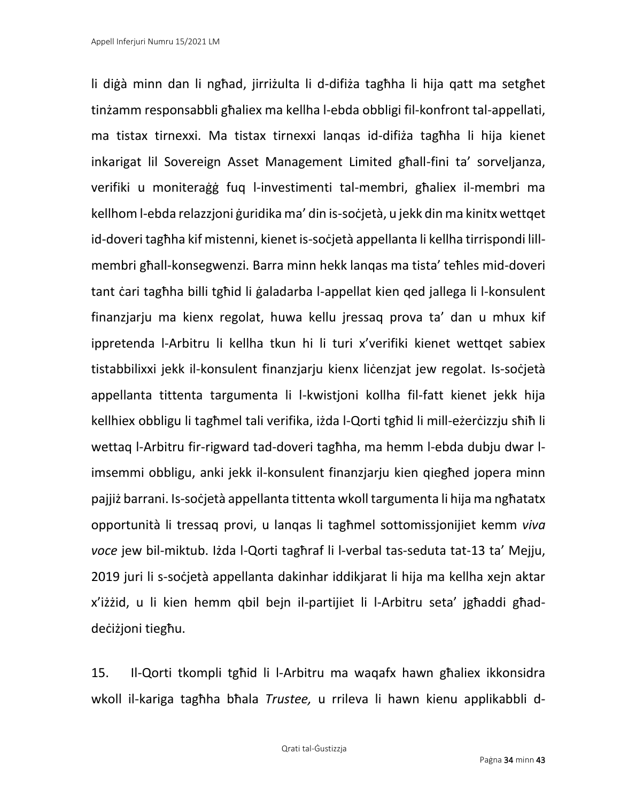li diġà minn dan li ngħad, jirriżulta li d-difiża tagħha li hija qatt ma setgħet tinżamm responsabbli għaliex ma kellha l-ebda obbligi fil-konfront tal-appellati, ma tistax tirnexxi. Ma tistax tirnexxi lanqas id-difiża tagħha li hija kienet inkarigat lil Sovereign Asset Management Limited għall-fini ta' sorveljanza, verifiki u moniteraġġ fuq l-investimenti tal-membri, għaliex il-membri ma kellhom l-ebda relazzjoni ġuridika ma' din is-soċjetà, u jekk din ma kinitx wettqet id-doveri tagħha kif mistenni, kienet is-soċjetà appellanta li kellha tirrispondi lillmembri għall-konsegwenzi. Barra minn hekk lanqas ma tista' teħles mid-doveri tant ċari tagħha billi tgħid li ġaladarba l-appellat kien qed jallega li l-konsulent finanzjarju ma kienx regolat, huwa kellu jressaq prova ta' dan u mhux kif ippretenda l-Arbitru li kellha tkun hi li turi x'verifiki kienet wettqet sabiex tistabbilixxi jekk il-konsulent finanzjarju kienx liċenzjat jew regolat. Is-soċjetà appellanta tittenta targumenta li l-kwistjoni kollha fil-fatt kienet jekk hija kellhiex obbligu li tagħmel tali verifika, iżda l-Qorti tgħid li mill-eżerċizzju sħiħ li wettaq l-Arbitru fir-rigward tad-doveri tagħha, ma hemm l-ebda dubju dwar limsemmi obbligu, anki jekk il-konsulent finanzjarju kien qiegħed jopera minn pajjiż barrani. Is-soċjetà appellanta tittenta wkoll targumenta li hija ma ngħatatx opportunità li tressaq provi, u lanqas li tagħmel sottomissjonijiet kemm *viva voce* jew bil-miktub. Iżda l-Qorti tagħraf li l-verbal tas-seduta tat-13 ta' Mejju, 2019 juri li s-soċjetà appellanta dakinhar iddikjarat li hija ma kellha xejn aktar x'iżżid, u li kien hemm qbil bejn il-partijiet li l-Arbitru seta' jgħaddi għaddeċiżjoni tiegħu.

15. Il-Qorti tkompli tgħid li l-Arbitru ma waqafx hawn għaliex ikkonsidra wkoll il-kariga tagħha bħala *Trustee,* u rrileva li hawn kienu applikabbli d-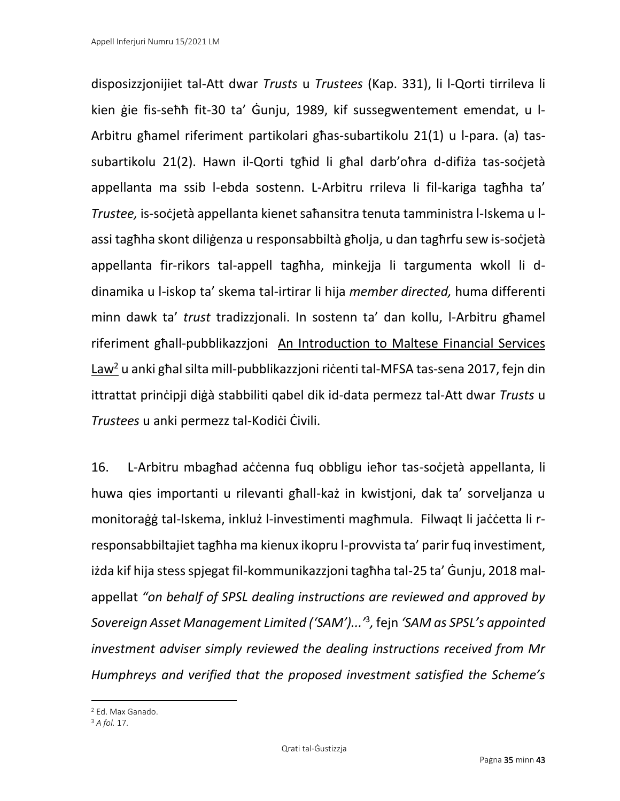disposizzjonijiet tal-Att dwar *Trusts* u *Trustees* (Kap. 331), li l-Qorti tirrileva li kien ġie fis-seħħ fit-30 ta' Ġunju, 1989, kif sussegwentement emendat, u l-Arbitru għamel riferiment partikolari għas-subartikolu 21(1) u l-para. (a) tassubartikolu 21(2). Hawn il-Qorti tgħid li għal darb'oħra d-difiża tas-soċjetà appellanta ma ssib l-ebda sostenn. L-Arbitru rrileva li fil-kariga tagħha ta' *Trustee,* is-soċjetà appellanta kienet saħansitra tenuta tamministra l-Iskema u lassi tagħha skont diliġenza u responsabbiltà għolja, u dan tagħrfu sew is-soċjetà appellanta fir-rikors tal-appell tagħha, minkejja li targumenta wkoll li ddinamika u l-iskop ta' skema tal-irtirar li hija *member directed,* huma differenti minn dawk ta' *trust* tradizzjonali. In sostenn ta' dan kollu, l-Arbitru għamel riferiment għall-pubblikazzjoni An Introduction to Maltese Financial Services Law<sup>2</sup> u anki għal silta mill-pubblikazzjoni riċenti tal-MFSA tas-sena 2017, fejn din ittrattat prinċipji diġà stabbiliti qabel dik id-data permezz tal-Att dwar *Trusts* u *Trustees* u anki permezz tal-Kodiċi Ċivili.

16. L-Arbitru mbagħad aċċenna fuq obbligu ieħor tas-soċjetà appellanta, li huwa qies importanti u rilevanti għall-każ in kwistjoni, dak ta' sorveljanza u monitoraġġ tal-Iskema, inkluż l-investimenti magħmula. Filwaqt li jaċċetta li rresponsabbiltajiet tagħha ma kienux ikopru l-provvista ta' parir fuq investiment, iżda kif hija stess spjegat fil-kommunikazzjoni tagħha tal-25 ta' Ġunju, 2018 malappellat *"on behalf of SPSL dealing instructions are reviewed and approved by Sovereign Asset Management Limited ('SAM')...'*<sup>3</sup> *,* fejn *'SAM as SPSL's appointed investment adviser simply reviewed the dealing instructions received from Mr Humphreys and verified that the proposed investment satisfied the Scheme's* 

<sup>2</sup> Ed. Max Ganado.

<sup>3</sup> *A fol.* 17.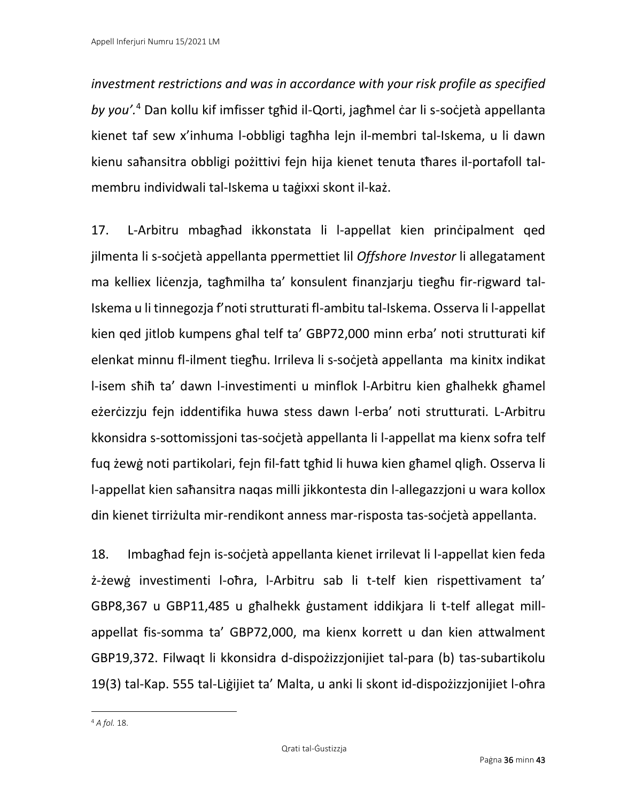*investment restrictions and was in accordance with your risk profile as specified by you'.*<sup>4</sup> Dan kollu kif imfisser tgħid il-Qorti, jagħmel ċar li s-soċjetà appellanta kienet taf sew x'inhuma l-obbligi tagħha lejn il-membri tal-Iskema, u li dawn kienu saħansitra obbligi pożittivi fejn hija kienet tenuta tħares il-portafoll talmembru individwali tal-Iskema u taġixxi skont il-każ.

17. L-Arbitru mbagħad ikkonstata li l-appellat kien prinċipalment qed jilmenta li s-soċjetà appellanta ppermettiet lil *Offshore Investor* li allegatament ma kelliex liċenzja, tagħmilha ta' konsulent finanzjarju tiegħu fir-rigward tal-Iskema u li tinnegozja f'noti strutturati fl-ambitu tal-Iskema. Osserva li l-appellat kien qed jitlob kumpens għal telf ta' GBP72,000 minn erba' noti strutturati kif elenkat minnu fl-ilment tiegħu. Irrileva li s-soċjetà appellanta ma kinitx indikat l-isem sħiħ ta' dawn l-investimenti u minflok l-Arbitru kien għalhekk għamel eżerċizzju fejn iddentifika huwa stess dawn l-erba' noti strutturati. L-Arbitru kkonsidra s-sottomissjoni tas-soċjetà appellanta li l-appellat ma kienx sofra telf fuq żewġ noti partikolari, fejn fil-fatt tgħid li huwa kien għamel qligħ. Osserva li l-appellat kien saħansitra naqas milli jikkontesta din l-allegazzjoni u wara kollox din kienet tirriżulta mir-rendikont anness mar-risposta tas-soċjetà appellanta.

18. Imbagħad fejn is-soċjetà appellanta kienet irrilevat li l-appellat kien feda ż-żewġ investimenti l-oħra, l-Arbitru sab li t-telf kien rispettivament ta' GBP8,367 u GBP11,485 u għalhekk ġustament iddikjara li t-telf allegat millappellat fis-somma ta' GBP72,000, ma kienx korrett u dan kien attwalment GBP19,372. Filwaqt li kkonsidra d-dispożizzjonijiet tal-para (b) tas-subartikolu 19(3) tal-Kap. 555 tal-Liġijiet ta' Malta, u anki li skont id-dispożizzjonijiet l-oħra

<sup>4</sup> *A fol.* 18.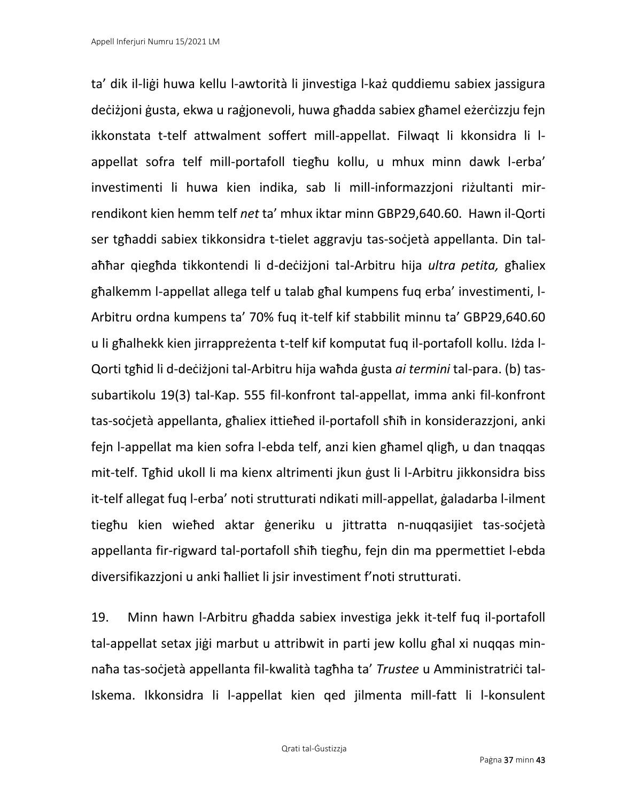ta' dik il-liġi huwa kellu l-awtorità li jinvestiga l-każ quddiemu sabiex jassigura deċiżjoni ġusta, ekwa u raġjonevoli, huwa għadda sabiex għamel eżerċizzju fejn ikkonstata t-telf attwalment soffert mill-appellat. Filwaqt li kkonsidra li lappellat sofra telf mill-portafoll tiegħu kollu, u mhux minn dawk l-erba' investimenti li huwa kien indika, sab li mill-informazzjoni riżultanti mirrendikont kien hemm telf *net* ta' mhux iktar minn GBP29,640.60. Hawn il-Qorti ser tgħaddi sabiex tikkonsidra t-tielet aggravju tas-soċjetà appellanta. Din talaħħar qiegħda tikkontendi li d-deċiżjoni tal-Arbitru hija *ultra petita,* għaliex għalkemm l-appellat allega telf u talab għal kumpens fuq erba' investimenti, l-Arbitru ordna kumpens ta' 70% fuq it-telf kif stabbilit minnu ta' GBP29,640.60 u li għalhekk kien jirrappreżenta t-telf kif komputat fuq il-portafoll kollu. Iżda l-Qorti tgħid li d-deċiżjoni tal-Arbitru hija waħda ġusta *ai termini* tal-para. (b) tassubartikolu 19(3) tal-Kap. 555 fil-konfront tal-appellat, imma anki fil-konfront tas-soċjetà appellanta, għaliex ittieħed il-portafoll sħiħ in konsiderazzjoni, anki fejn l-appellat ma kien sofra l-ebda telf, anzi kien għamel qligħ, u dan tnaqqas mit-telf. Tgħid ukoll li ma kienx altrimenti jkun ġust li l-Arbitru jikkonsidra biss it-telf allegat fuq l-erba' noti strutturati ndikati mill-appellat, ġaladarba l-ilment tiegħu kien wieħed aktar ġeneriku u jittratta n-nuqqasijiet tas-soċjetà appellanta fir-rigward tal-portafoll sħiħ tiegħu, fejn din ma ppermettiet l-ebda diversifikazzjoni u anki ħalliet li jsir investiment f'noti strutturati.

19. Minn hawn l-Arbitru għadda sabiex investiga jekk it-telf fuq il-portafoll tal-appellat setax jiġi marbut u attribwit in parti jew kollu għal xi nuqqas minnaħa tas-soċjetà appellanta fil-kwalità tagħha ta' *Trustee* u Amministratriċi tal-Iskema. Ikkonsidra li l-appellat kien qed jilmenta mill-fatt li l-konsulent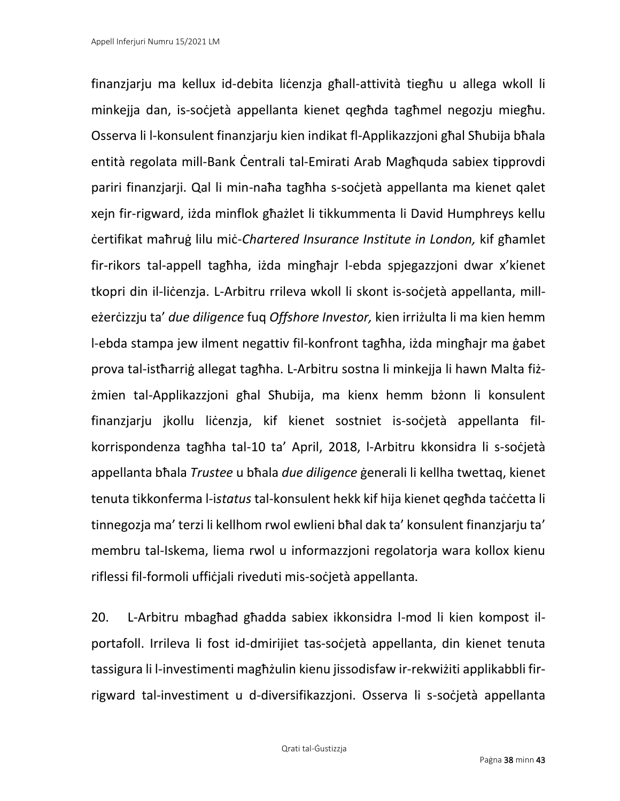finanzjarju ma kellux id-debita liċenzja għall-attività tiegħu u allega wkoll li minkejja dan, is-soċjetà appellanta kienet qegħda tagħmel negozju miegħu. Osserva li l-konsulent finanzjarju kien indikat fl-Applikazzjoni għal Sħubija bħala entità regolata mill-Bank Ċentrali tal-Emirati Arab Magħquda sabiex tipprovdi pariri finanzjarji. Qal li min-naħa tagħha s-soċjetà appellanta ma kienet qalet xejn fir-rigward, iżda minflok għażlet li tikkummenta li David Humphreys kellu ċertifikat maħruġ lilu miċ-*Chartered Insurance Institute in London,* kif għamlet fir-rikors tal-appell tagħha, iżda mingħajr l-ebda spjegazzjoni dwar x'kienet tkopri din il-liċenzja. L-Arbitru rrileva wkoll li skont is-soċjetà appellanta, milleżerċizzju ta' *due diligence* fuq *Offshore Investor,* kien irriżulta li ma kien hemm l-ebda stampa jew ilment negattiv fil-konfront tagħha, iżda mingħajr ma ġabet prova tal-istħarriġ allegat tagħha. L-Arbitru sostna li minkejja li hawn Malta fiżżmien tal-Applikazzjoni għal Sħubija, ma kienx hemm bżonn li konsulent finanzjarju jkollu liċenzja, kif kienet sostniet is-soċjetà appellanta filkorrispondenza tagħha tal-10 ta' April, 2018, l-Arbitru kkonsidra li s-soċjetà appellanta bħala *Trustee* u bħala *due diligence* ġenerali li kellha twettaq, kienet tenuta tikkonferma l-i*status* tal-konsulent hekk kif hija kienet qegħda taċċetta li tinnegozja ma' terzi li kellhom rwol ewlieni bħal dak ta' konsulent finanzjarju ta' membru tal-Iskema, liema rwol u informazzjoni regolatorja wara kollox kienu riflessi fil-formoli uffiċjali riveduti mis-soċjetà appellanta.

20. L-Arbitru mbagħad għadda sabiex ikkonsidra l-mod li kien kompost ilportafoll. Irrileva li fost id-dmirijiet tas-soċjetà appellanta, din kienet tenuta tassigura li l-investimenti magħżulin kienu jissodisfaw ir-rekwiżiti applikabbli firrigward tal-investiment u d-diversifikazzjoni. Osserva li s-soċjetà appellanta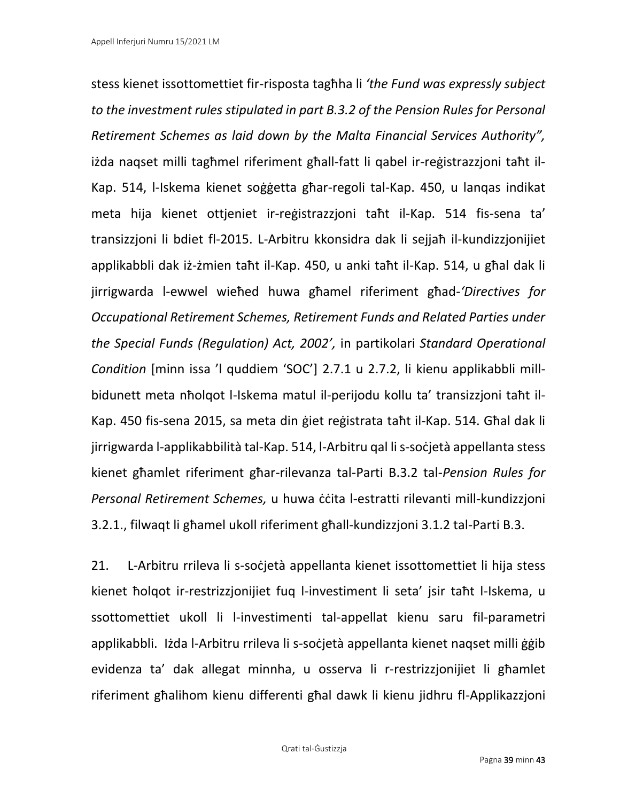stess kienet issottomettiet fir-risposta tagħha li *'the Fund was expressly subject to the investment rules stipulated in part B.3.2 of the Pension Rules for Personal Retirement Schemes as laid down by the Malta Financial Services Authority",*  iżda naqset milli tagħmel riferiment għall-fatt li qabel ir-reġistrazzjoni taħt il-Kap. 514, l-Iskema kienet soġġetta għar-regoli tal-Kap. 450, u lanqas indikat meta hija kienet ottjeniet ir-reġistrazzjoni taħt il-Kap. 514 fis-sena ta' transizzjoni li bdiet fl-2015. L-Arbitru kkonsidra dak li sejjaħ il-kundizzjonijiet applikabbli dak iż-żmien taħt il-Kap. 450, u anki taħt il-Kap. 514, u għal dak li jirrigwarda l-ewwel wieħed huwa għamel riferiment għad-*'Directives for Occupational Retirement Schemes, Retirement Funds and Related Parties under the Special Funds (Regulation) Act, 2002',* in partikolari *Standard Operational Condition* [minn issa 'l quddiem 'SOC'] 2.7.1 u 2.7.2, li kienu applikabbli millbidunett meta nħolqot l-Iskema matul il-perijodu kollu ta' transizzjoni taħt il-Kap. 450 fis-sena 2015, sa meta din ġiet reġistrata taħt il-Kap. 514. Għal dak li jirrigwarda l-applikabbilità tal-Kap. 514, l-Arbitru qal li s-soċjetà appellanta stess kienet għamlet riferiment għar-rilevanza tal-Parti B.3.2 tal-*Pension Rules for Personal Retirement Schemes,* u huwa ċċita l-estratti rilevanti mill-kundizzjoni 3.2.1., filwaqt li għamel ukoll riferiment għall-kundizzjoni 3.1.2 tal-Parti B.3.

21. L-Arbitru rrileva li s-soċjetà appellanta kienet issottomettiet li hija stess kienet ħolqot ir-restrizzjonijiet fuq l-investiment li seta' jsir taħt l-Iskema, u ssottomettiet ukoll li l-investimenti tal-appellat kienu saru fil-parametri applikabbli. Iżda l-Arbitru rrileva li s-soċjetà appellanta kienet naqset milli ġġib evidenza ta' dak allegat minnha, u osserva li r-restrizzjonijiet li għamlet riferiment għalihom kienu differenti għal dawk li kienu jidhru fl-Applikazzjoni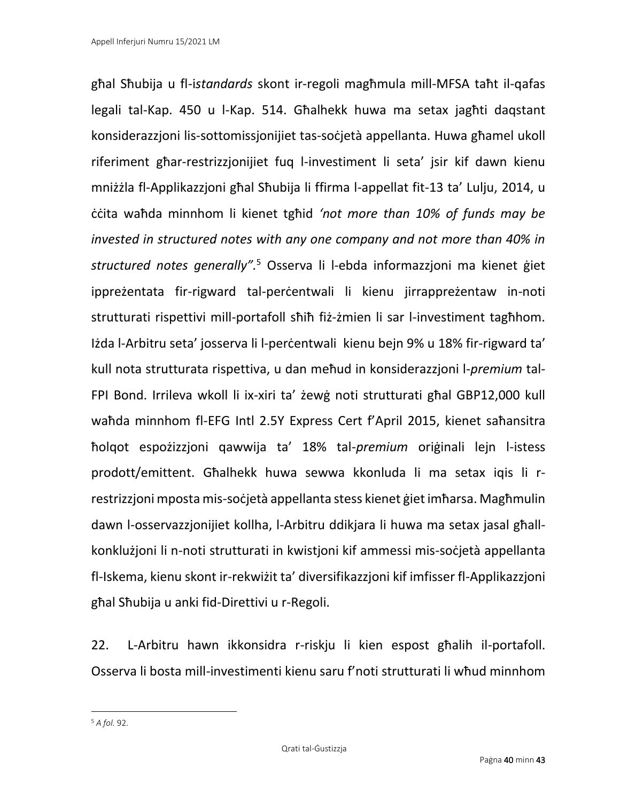għal Sħubija u fl-i*standards* skont ir-regoli magħmula mill-MFSA taħt il-qafas legali tal-Kap. 450 u l-Kap. 514. Għalhekk huwa ma setax jagħti daqstant konsiderazzjoni lis-sottomissjonijiet tas-soċjetà appellanta. Huwa għamel ukoll riferiment għar-restrizzjonijiet fuq l-investiment li seta' jsir kif dawn kienu mniżżla fl-Applikazzjoni għal Sħubija li ffirma l-appellat fit-13 ta' Lulju, 2014, u ċċita waħda minnhom li kienet tgħid *'not more than 10% of funds may be invested in structured notes with any one company and not more than 40% in structured notes generally".* <sup>5</sup> Osserva li l-ebda informazzjoni ma kienet ġiet ippreżentata fir-rigward tal-perċentwali li kienu jirrappreżentaw in-noti strutturati rispettivi mill-portafoll sħiħ fiż-żmien li sar l-investiment tagħhom. Iżda l-Arbitru seta' josserva li l-perċentwali kienu bejn 9% u 18% fir-rigward ta' kull nota strutturata rispettiva, u dan meħud in konsiderazzjoni l-*premium* tal-FPI Bond. Irrileva wkoll li ix-xiri ta' żewġ noti strutturati għal GBP12,000 kull waħda minnhom fl-EFG Intl 2.5Y Express Cert f'April 2015, kienet saħansitra ħolqot espożizzjoni qawwija ta' 18% tal-*premium* oriġinali lejn l-istess prodott/emittent. Għalhekk huwa sewwa kkonluda li ma setax iqis li rrestrizzjoni mposta mis-soċjetà appellanta stess kienet ġiet imħarsa. Magħmulin dawn l-osservazzjonijiet kollha, l-Arbitru ddikjara li huwa ma setax jasal għallkonklużjoni li n-noti strutturati in kwistjoni kif ammessi mis-soċjetà appellanta fl-Iskema, kienu skont ir-rekwiżit ta' diversifikazzjoni kif imfisser fl-Applikazzjoni għal Sħubija u anki fid-Direttivi u r-Regoli.

22. L-Arbitru hawn ikkonsidra r-riskju li kien espost għalih il-portafoll. Osserva li bosta mill-investimenti kienu saru f'noti strutturati li wħud minnhom

<sup>5</sup> *A fol.* 92.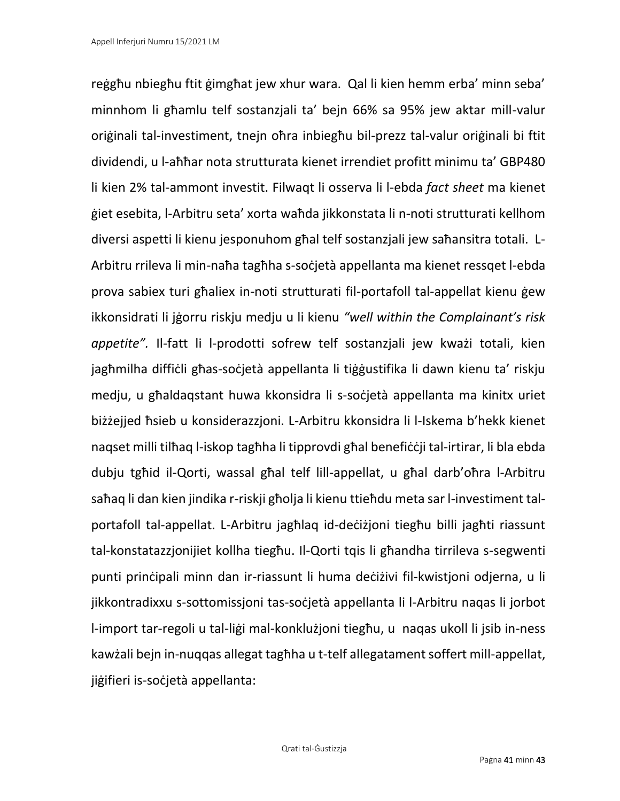reġgħu nbiegħu ftit ġimgħat jew xhur wara. Qal li kien hemm erba' minn seba' minnhom li għamlu telf sostanzjali ta' bejn 66% sa 95% jew aktar mill-valur oriġinali tal-investiment, tnejn oħra inbiegħu bil-prezz tal-valur oriġinali bi ftit dividendi, u l-aħħar nota strutturata kienet irrendiet profitt minimu ta' GBP480 li kien 2% tal-ammont investit. Filwaqt li osserva li l-ebda *fact sheet* ma kienet ġiet esebita, l-Arbitru seta' xorta waħda jikkonstata li n-noti strutturati kellhom diversi aspetti li kienu jesponuhom għal telf sostanzjali jew saħansitra totali. L-Arbitru rrileva li min-naħa tagħha s-soċjetà appellanta ma kienet ressqet l-ebda prova sabiex turi għaliex in-noti strutturati fil-portafoll tal-appellat kienu ġew ikkonsidrati li jġorru riskju medju u li kienu *"well within the Complainant's risk appetite".* Il-fatt li l-prodotti sofrew telf sostanzjali jew kważi totali, kien jagħmilha diffiċli għas-soċjetà appellanta li tiġġustifika li dawn kienu ta' riskju medju, u għaldaqstant huwa kkonsidra li s-soċjetà appellanta ma kinitx uriet biżżejjed ħsieb u konsiderazzjoni. L-Arbitru kkonsidra li l-Iskema b'hekk kienet naqset milli tilħaq l-iskop tagħha li tipprovdi għal benefiċċji tal-irtirar, li bla ebda dubju tgħid il-Qorti, wassal għal telf lill-appellat, u għal darb'oħra l-Arbitru saħaq li dan kien jindika r-riskji għolja li kienu ttieħdu meta sar l-investiment talportafoll tal-appellat. L-Arbitru jagħlaq id-deċiżjoni tiegħu billi jagħti riassunt tal-konstatazzjonijiet kollha tiegħu. Il-Qorti tqis li għandha tirrileva s-segwenti punti prinċipali minn dan ir-riassunt li huma deċiżivi fil-kwistjoni odjerna, u li jikkontradixxu s-sottomissjoni tas-soċjetà appellanta li l-Arbitru naqas li jorbot l-import tar-regoli u tal-liġi mal-konklużjoni tiegħu, u naqas ukoll li jsib in-ness kawżali bejn in-nuqqas allegat tagħha u t-telf allegatament soffert mill-appellat, jiġifieri is-soċjetà appellanta: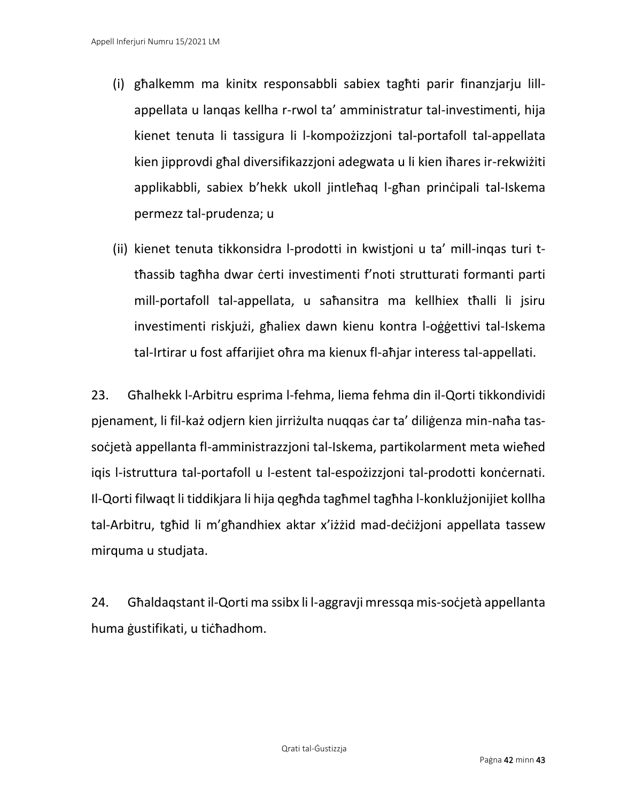- (i) għalkemm ma kinitx responsabbli sabiex tagħti parir finanzjarju lillappellata u lanqas kellha r-rwol ta' amministratur tal-investimenti, hija kienet tenuta li tassigura li l-kompożizzjoni tal-portafoll tal-appellata kien jipprovdi għal diversifikazzjoni adegwata u li kien iħares ir-rekwiżiti applikabbli, sabiex b'hekk ukoll jintleħaq l-għan prinċipali tal-Iskema permezz tal-prudenza; u
- (ii) kienet tenuta tikkonsidra l-prodotti in kwistjoni u ta' mill-inqas turi ttħassib tagħha dwar ċerti investimenti f'noti strutturati formanti parti mill-portafoll tal-appellata, u saħansitra ma kellhiex tħalli li jsiru investimenti riskjużi, għaliex dawn kienu kontra l-oġġettivi tal-Iskema tal-Irtirar u fost affarijiet oħra ma kienux fl-aħjar interess tal-appellati.

23. Għalhekk l-Arbitru esprima l-fehma, liema fehma din il-Qorti tikkondividi pjenament, li fil-każ odjern kien jirriżulta nuqqas ċar ta' diliġenza min-naħa tassoċjetà appellanta fl-amministrazzjoni tal-Iskema, partikolarment meta wieħed igis l-istruttura tal-portafoll u l-estent tal-espożizzjoni tal-prodotti konċernati. Il-Qorti filwaqt li tiddikjara li hija qegħda tagħmel tagħha l-konklużjonijiet kollha tal-Arbitru, tgħid li m'għandhiex aktar x'iżżid mad-deċiżjoni appellata tassew mirquma u studjata.

24. Għaldaqstant il-Qorti ma ssibx li l-aggravji mressqa mis-soċjetà appellanta huma ġustifikati, u tiċħadhom.